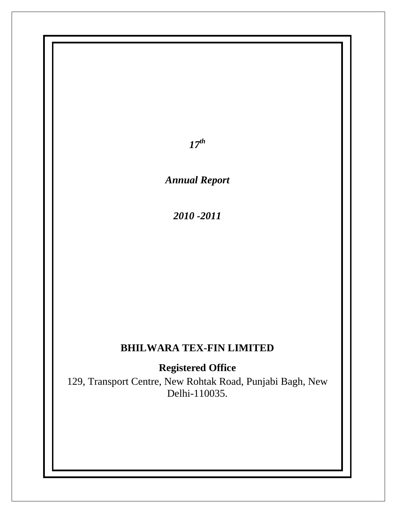*17th*

# *Annual Report*

*2010 -2011* 

# **BHILWARA TEX-FIN LIMITED**

**Registered Office** 

129, Transport Centre, New Rohtak Road, Punjabi Bagh, New Delhi-110035.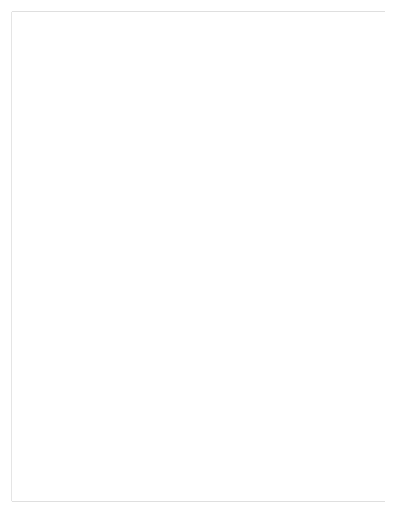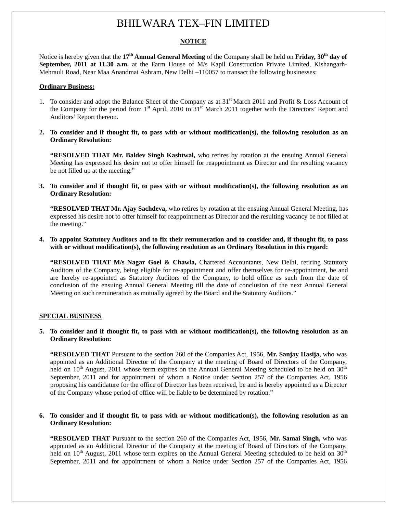#### **NOTICE**

Notice is hereby given that the 17<sup>th</sup> Annual General Meeting of the Company shall be held on Friday, 30<sup>th</sup> day of **September, 2011 at 11.30 a.m.** at the Farm House of M/s Kapil Construction Private Limited, Kishangarh-Mehrauli Road, Near Maa Anandmai Ashram, New Delhi –110057 to transact the following businesses:

#### **Ordinary Business:**

- 1. To consider and adopt the Balance Sheet of the Company as at 31<sup>st</sup> March 2011 and Profit & Loss Account of the Company for the period from 1<sup>st</sup> April, 2010 to  $31<sup>st</sup>$  March 2011 together with the Directors' Report and Auditors' Report thereon.
- **2. To consider and if thought fit, to pass with or without modification(s), the following resolution as an Ordinary Resolution:**

**"RESOLVED THAT Mr. Baldev Singh Kashtwal,** who retires by rotation at the ensuing Annual General Meeting has expressed his desire not to offer himself for reappointment as Director and the resulting vacancy be not filled up at the meeting."

**3. To consider and if thought fit, to pass with or without modification(s), the following resolution as an Ordinary Resolution:** 

**"RESOLVED THAT Mr. Ajay Sachdeva,** who retires by rotation at the ensuing Annual General Meeting, has expressed his desire not to offer himself for reappointment as Director and the resulting vacancy be not filled at the meeting."

**4. To appoint Statutory Auditors and to fix their remuneration and to consider and, if thought fit, to pass with or without modification(s), the following resolution as an Ordinary Resolution in this regard:** 

**"RESOLVED THAT M/s Nagar Goel & Chawla, Chartered Accountants, New Delhi, retiring Statutory** Auditors of the Company, being eligible for re-appointment and offer themselves for re-appointment, be and are hereby re-appointed as Statutory Auditors of the Company, to hold office as such from the date of conclusion of the ensuing Annual General Meeting till the date of conclusion of the next Annual General Meeting on such remuneration as mutually agreed by the Board and the Statutory Auditors."

#### **SPECIAL BUSINESS**

**5. To consider and if thought fit, to pass with or without modification(s), the following resolution as an Ordinary Resolution:** 

**"RESOLVED THAT** Pursuant to the section 260 of the Companies Act, 1956, **Mr. Sanjay Hasija,** who was appointed as an Additional Director of the Company at the meeting of Board of Directors of the Company, held on  $10^{th}$  August, 2011 whose term expires on the Annual General Meeting scheduled to be held on  $30^{th}$ September, 2011 and for appointment of whom a Notice under Section 257 of the Companies Act, 1956 proposing his candidature for the office of Director has been received, be and is hereby appointed as a Director of the Company whose period of office will be liable to be determined by rotation."

#### **6. To consider and if thought fit, to pass with or without modification(s), the following resolution as an Ordinary Resolution:**

**"RESOLVED THAT** Pursuant to the section 260 of the Companies Act, 1956, **Mr. Samai Singh,** who was appointed as an Additional Director of the Company at the meeting of Board of Directors of the Company, held on  $10<sup>th</sup>$  August, 2011 whose term expires on the Annual General Meeting scheduled to be held on 30<sup>th</sup> September, 2011 and for appointment of whom a Notice under Section 257 of the Companies Act, 1956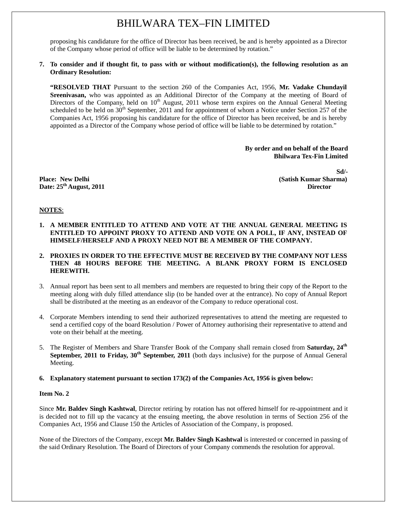proposing his candidature for the office of Director has been received, be and is hereby appointed as a Director of the Company whose period of office will be liable to be determined by rotation."

#### **7. To consider and if thought fit, to pass with or without modification(s), the following resolution as an Ordinary Resolution:**

**"RESOLVED THAT** Pursuant to the section 260 of the Companies Act, 1956, **Mr. Vadake Chundayil Sreenivasan,** who was appointed as an Additional Director of the Company at the meeting of Board of Directors of the Company, held on 10<sup>th</sup> August, 2011 whose term expires on the Annual General Meeting scheduled to be held on 30<sup>th</sup> September, 2011 and for appointment of whom a Notice under Section 257 of the Companies Act, 1956 proposing his candidature for the office of Director has been received, be and is hereby appointed as a Director of the Company whose period of office will be liable to be determined by rotation."

> **By order and on behalf of the Board Bhilwara Tex-Fin Limited**

**Date: 25<sup>th</sup> August, 2011** Director **Director Director** 

**Sd/- Place: New Delhi (Satish Kumar Sharma)** 

#### **NOTES**:

- **1. A MEMBER ENTITLED TO ATTEND AND VOTE AT THE ANNUAL GENERAL MEETING IS ENTITLED TO APPOINT PROXY TO ATTEND AND VOTE ON A POLL, IF ANY, INSTEAD OF HIMSELF/HERSELF AND A PROXY NEED NOT BE A MEMBER OF THE COMPANY.**
- **2. PROXIES IN ORDER TO THE EFFECTIVE MUST BE RECEIVED BY THE COMPANY NOT LESS THEN 48 HOURS BEFORE THE MEETING. A BLANK PROXY FORM IS ENCLOSED HEREWITH.**
- 3. Annual report has been sent to all members and members are requested to bring their copy of the Report to the meeting along with duly filled attendance slip (to be handed over at the entrance). No copy of Annual Report shall be distributed at the meeting as an endeavor of the Company to reduce operational cost.
- 4. Corporate Members intending to send their authorized representatives to attend the meeting are requested to send a certified copy of the board Resolution / Power of Attorney authorising their representative to attend and vote on their behalf at the meeting.
- 5. The Register of Members and Share Transfer Book of the Company shall remain closed from **Saturday, 24th September, 2011 to Friday, 30th September, 2011** (both days inclusive) for the purpose of Annual General Meeting.
- **6. Explanatory statement pursuant to section 173(2) of the Companies Act, 1956 is given below:**

#### **Item No. 2**

Since **Mr. Baldev Singh Kashtwal**, Director retiring by rotation has not offered himself for re-appointment and it is decided not to fill up the vacancy at the ensuing meeting, the above resolution in terms of Section 256 of the Companies Act, 1956 and Clause 150 the Articles of Association of the Company, is proposed.

None of the Directors of the Company, except **Mr. Baldev Singh Kashtwal** is interested or concerned in passing of the said Ordinary Resolution. The Board of Directors of your Company commends the resolution for approval.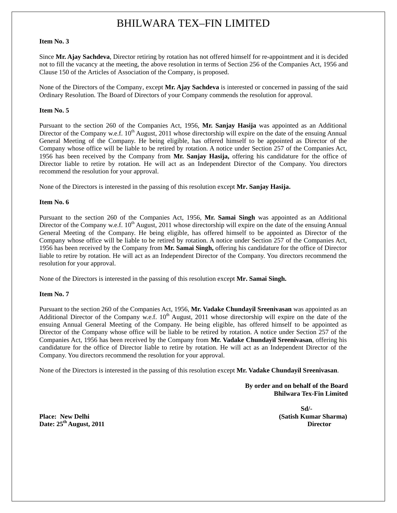#### **Item No. 3**

Since **Mr. Ajay Sachdeva**, Director retiring by rotation has not offered himself for re-appointment and it is decided not to fill the vacancy at the meeting, the above resolution in terms of Section 256 of the Companies Act, 1956 and Clause 150 of the Articles of Association of the Company, is proposed.

None of the Directors of the Company, except **Mr. Ajay Sachdeva** is interested or concerned in passing of the said Ordinary Resolution. The Board of Directors of your Company commends the resolution for approval.

#### **Item No. 5**

Pursuant to the section 260 of the Companies Act, 1956, **Mr. Sanjay Hasija** was appointed as an Additional Director of the Company w.e.f.  $10<sup>th</sup>$  August, 2011 whose directorship will expire on the date of the ensuing Annual General Meeting of the Company. He being eligible, has offered himself to be appointed as Director of the Company whose office will be liable to be retired by rotation. A notice under Section 257 of the Companies Act, 1956 has been received by the Company from **Mr. Sanjay Hasija,** offering his candidature for the office of Director liable to retire by rotation. He will act as an Independent Director of the Company. You directors recommend the resolution for your approval.

None of the Directors is interested in the passing of this resolution except **Mr. Sanjay Hasija.**

#### **Item No. 6**

Pursuant to the section 260 of the Companies Act, 1956, **Mr. Samai Singh** was appointed as an Additional Director of the Company w.e.f.  $10<sup>th</sup>$  August, 2011 whose directorship will expire on the date of the ensuing Annual General Meeting of the Company. He being eligible, has offered himself to be appointed as Director of the Company whose office will be liable to be retired by rotation. A notice under Section 257 of the Companies Act, 1956 has been received by the Company from **Mr. Samai Singh,** offering his candidature for the office of Director liable to retire by rotation. He will act as an Independent Director of the Company. You directors recommend the resolution for your approval.

None of the Directors is interested in the passing of this resolution except **Mr. Samai Singh.**

#### **Item No. 7**

Pursuant to the section 260 of the Companies Act, 1956, **Mr. Vadake Chundayil Sreenivasan** was appointed as an Additional Director of the Company w.e.f.  $10<sup>th</sup>$  August, 2011 whose directorship will expire on the date of the ensuing Annual General Meeting of the Company. He being eligible, has offered himself to be appointed as Director of the Company whose office will be liable to be retired by rotation. A notice under Section 257 of the Companies Act, 1956 has been received by the Company from **Mr. Vadake Chundayil Sreenivasan**, offering his candidature for the office of Director liable to retire by rotation. He will act as an Independent Director of the Company. You directors recommend the resolution for your approval.

None of the Directors is interested in the passing of this resolution except **Mr. Vadake Chundayil Sreenivasan**.

**By order and on behalf of the Board Bhilwara Tex-Fin Limited** 

**Date: 25<sup>th</sup> August, 2011** Director

**Sd/- Sd/- Sd/- Sd/- Sd/- Sd/- Sd/- Sd Place: New Delhi (Satish Kumar Sharma)**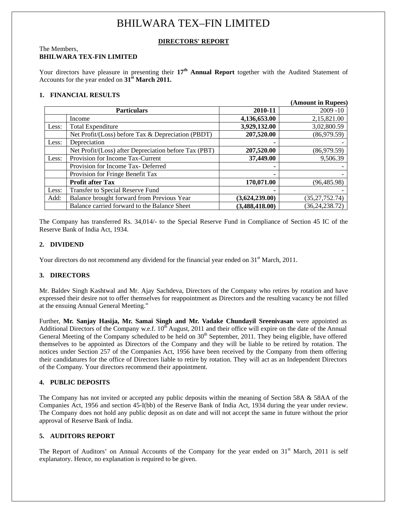### **DIRECTORS' REPORT**

#### The Members, **BHILWARA TEX-FIN LIMITED**

Your directors have pleasure in presenting their 17<sup>th</sup> Annual Report together with the Audited Statement of Accounts for the year ended on **31st March 2011.** 

#### **1. FINANCIAL RESULTS**

|       |                                                       |                | (Amount in Rupees) |
|-------|-------------------------------------------------------|----------------|--------------------|
|       | <b>Particulars</b>                                    | 2010-11        | $2009 - 10$        |
|       | Income                                                | 4,136,653.00   | 2,15,821.00        |
| Less: | <b>Total Expenditure</b>                              | 3,929,132.00   | 3,02,800.59        |
|       | Net Profit/(Loss) before Tax & Depreciation (PBDT)    | 207,520.00     | (86,979.59)        |
| Less: | Depreciation                                          |                |                    |
|       | Net Profit/(Loss) after Depreciation before Tax (PBT) | 207,520.00     | (86,979.59)        |
| Less: | Provision for Income Tax-Current                      | 37,449.00      | 9,506.39           |
|       | Provision for Income Tax-Deferred                     | ۰              |                    |
|       | Provision for Fringe Benefit Tax                      | ۰              |                    |
|       | <b>Profit after Tax</b>                               | 170,071.00     | (96, 485.98)       |
| Less: | <b>Transfer to Special Reserve Fund</b>               | ٠              |                    |
| Add:  | Balance brought forward from Previous Year            | (3,624,239.00) | (35, 27, 752.74)   |
|       | Balance carried forward to the Balance Sheet          | (3,488,418.00) | (36, 24, 238.72)   |

The Company has transferred Rs. 34,014/- to the Special Reserve Fund in Compliance of Section 45 IC of the Reserve Bank of India Act, 1934.

#### **2. DIVIDEND**

Your directors do not recommend any dividend for the financial year ended on  $31<sup>st</sup>$  March, 2011.

#### **3. DIRECTORS**

Mr. Baldev Singh Kashtwal and Mr. Ajay Sachdeva, Directors of the Company who retires by rotation and have expressed their desire not to offer themselves for reappointment as Directors and the resulting vacancy be not filled at the ensuing Annual General Meeting."

Further, **Mr. Sanjay Hasija, Mr. Samai Singh and Mr. Vadake Chundayil Sreenivasan** were appointed as Additional Directors of the Company w.e.f.  $10^{th}$  August, 2011 and their office will expire on the date of the Annual General Meeting of the Company scheduled to be held on  $30<sup>th</sup>$  September, 2011. They being eligible, have offered themselves to be appointed as Directors of the Company and they will be liable to be retired by rotation. The notices under Section 257 of the Companies Act, 1956 have been received by the Company from them offering their candidatures for the office of Directors liable to retire by rotation. They will act as an Independent Directors of the Company. Your directors recommend their appointment.

#### **4. PUBLIC DEPOSITS**

The Company has not invited or accepted any public deposits within the meaning of Section 58A & 58AA of the Companies Act, 1956 and section 45-I(bb) of the Reserve Bank of India Act, 1934 during the year under review. The Company does not hold any public deposit as on date and will not accept the same in future without the prior approval of Reserve Bank of India.

#### **5. AUDITORS REPORT**

The Report of Auditors' on Annual Accounts of the Company for the year ended on  $31<sup>st</sup>$  March, 2011 is self explanatory. Hence, no explanation is required to be given.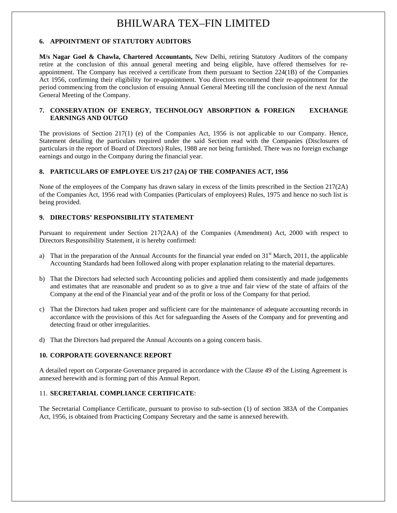#### **6. APPOINTMENT OF STATUTORY AUDITORS**

**M/s Nagar Goel & Chawla, Chartered Accountants,** New Delhi, retiring Statutory Auditors of the company retire at the conclusion of this annual general meeting and being eligible, have offered themselves for reappointment. The Company has received a certificate from them pursuant to Section 224(1B) of the Companies Act 1956, confirming their eligibility for re-appointment. You directors recommend their re-appointment for the period commencing from the conclusion of ensuing Annual General Meeting till the conclusion of the next Annual General Meeting of the Company.

#### **7. CONSERVATION OF ENERGY, TECHNOLOGY ABSORPTION & FOREIGN EXCHANGE EARNINGS AND OUTGO**

The provisions of Section 217(1) (e) of the Companies Act, 1956 is not applicable to our Company. Hence, Statement detailing the particulars required under the said Section read with the Companies (Disclosures of particulars in the report of Board of Directors) Rules, 1988 are not being furnished. There was no foreign exchange earnings and outgo in the Company during the financial year.

#### **8. PARTICULARS OF EMPLOYEE U/S 217 (2A) OF THE COMPANIES ACT, 1956**

None of the employees of the Company has drawn salary in excess of the limits prescribed in the Section 217(2A) of the Companies Act, 1956 read with Companies (Particulars of employees) Rules, 1975 and hence no such list is being provided.

#### **9. DIRECTORS' RESPONSIBILITY STATEMENT**

Pursuant to requirement under Section 217(2AA) of the Companies (Amendment) Act, 2000 with respect to Directors Responsibility Statement, it is hereby confirmed:

- a) That in the preparation of the Annual Accounts for the financial year ended on  $31<sup>st</sup>$  March, 2011, the applicable Accounting Standards had been followed along with proper explanation relating to the material departures.
- b) That the Directors had selected such Accounting policies and applied them consistently and made judgements and estimates that are reasonable and prudent so as to give a true and fair view of the state of affairs of the Company at the end of the Financial year and of the profit or loss of the Company for that period.
- c) That the Directors had taken proper and sufficient care for the maintenance of adequate accounting records in accordance with the provisions of this Act for safeguarding the Assets of the Company and for preventing and detecting fraud or other irregularities.
- d) That the Directors had prepared the Annual Accounts on a going concern basis.

#### **10. CORPORATE GOVERNANCE REPORT**

A detailed report on Corporate Governance prepared in accordance with the Clause 49 of the Listing Agreement is annexed herewith and is forming part of this Annual Report.

#### 11. **SECRETARIAL COMPLIANCE CERTIFICATE**:

The Secretarial Compliance Certificate, pursuant to proviso to sub-section (1) of section 383A of the Companies Act, 1956, is obtained from Practicing Company Secretary and the same is annexed herewith.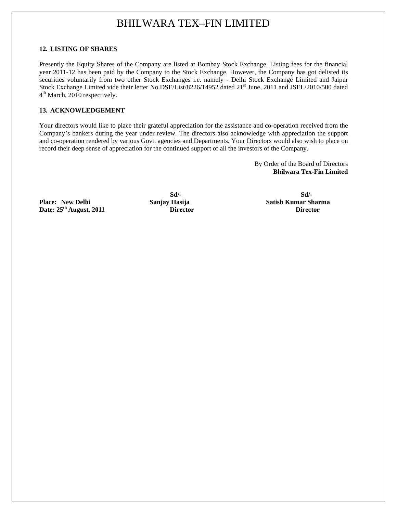#### **12. LISTING OF SHARES**

Presently the Equity Shares of the Company are listed at Bombay Stock Exchange. Listing fees for the financial year 2011-12 has been paid by the Company to the Stock Exchange. However, the Company has got delisted its securities voluntarily from two other Stock Exchanges i.e. namely - Delhi Stock Exchange Limited and Jaipur Stock Exchange Limited vide their letter No.DSE/List/8226/14952 dated 21<sup>st</sup> June, 2011 and JSEL/2010/500 dated 4<sup>th</sup> March, 2010 respectively.

#### **13. ACKNOWLEDGEMENT**

Your directors would like to place their grateful appreciation for the assistance and co-operation received from the Company's bankers during the year under review. The directors also acknowledge with appreciation the support and co-operation rendered by various Govt. agencies and Departments. Your Directors would also wish to place on record their deep sense of appreciation for the continued support of all the investors of the Company.

> By Order of the Board of Directors **Bhilwara Tex-Fin Limited**

**Place: New Delhi Sanjay Hasija Satish Kumar Sharma**  Date:  $25<sup>th</sup>$  August, 2011 Director **Director Director** 

**Sd/- Sd/-**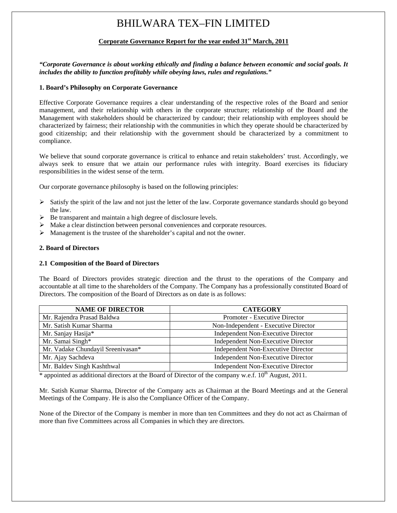#### **Corporate Governance Report for the year ended 31st March, 2011**

*"Corporate Governance is about working ethically and finding a balance between economic and social goals. It includes the ability to function profitably while obeying laws, rules and regulations."* 

#### **1. Board's Philosophy on Corporate Governance**

Effective Corporate Governance requires a clear understanding of the respective roles of the Board and senior management, and their relationship with others in the corporate structure; relationship of the Board and the Management with stakeholders should be characterized by candour; their relationship with employees should be characterized by fairness; their relationship with the communities in which they operate should be characterized by good citizenship; and their relationship with the government should be characterized by a commitment to compliance.

We believe that sound corporate governance is critical to enhance and retain stakeholders' trust. Accordingly, we always seek to ensure that we attain our performance rules with integrity. Board exercises its fiduciary responsibilities in the widest sense of the term.

Our corporate governance philosophy is based on the following principles:

- $\triangleright$  Satisfy the spirit of the law and not just the letter of the law. Corporate governance standards should go beyond the law.
- $\triangleright$  Be transparent and maintain a high degree of disclosure levels.
- ¾ Make a clear distinction between personal conveniences and corporate resources.
- $\triangleright$  Management is the trustee of the shareholder's capital and not the owner.

#### **2. Board of Directors**

#### **2.1 Composition of the Board of Directors**

The Board of Directors provides strategic direction and the thrust to the operations of the Company and accountable at all time to the shareholders of the Company. The Company has a professionally constituted Board of Directors. The composition of the Board of Directors as on date is as follows:

| <b>NAME OF DIRECTOR</b>           | <b>CATEGORY</b>                           |
|-----------------------------------|-------------------------------------------|
| Mr. Rajendra Prasad Baldwa        | Promoter - Executive Director             |
| Mr. Satish Kumar Sharma           | Non-Independent - Executive Director      |
| Mr. Sanjay Hasija*                | Independent Non-Executive Director        |
| Mr. Samai Singh*                  | <b>Independent Non-Executive Director</b> |
| Mr. Vadake Chundayil Sreenivasan* | Independent Non-Executive Director        |
| Mr. Ajay Sachdeva                 | <b>Independent Non-Executive Director</b> |
| Mr. Baldev Singh Kashthwal        | <b>Independent Non-Executive Director</b> |

\* appointed as additional directors at the Board of Director of the company w.e.f.  $10^{th}$  August, 2011.

Mr. Satish Kumar Sharma, Director of the Company acts as Chairman at the Board Meetings and at the General Meetings of the Company. He is also the Compliance Officer of the Company.

None of the Director of the Company is member in more than ten Committees and they do not act as Chairman of more than five Committees across all Companies in which they are directors.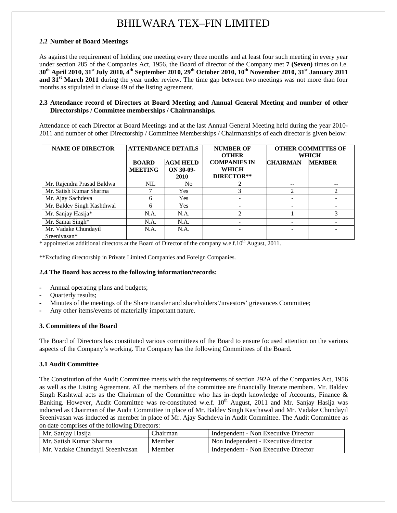#### **2.2 Number of Board Meetings**

As against the requirement of holding one meeting every three months and at least four such meeting in every year under section 285 of the Companies Act, 1956, the Board of director of the Company met **7 (Seven)** times on i.e. **30th April 2010, 31st July 2010, 4th September 2010, 29th October 2010, 10th November 2010, 31st January 2011**  and 31<sup>st</sup> March 2011 during the year under review. The time gap between two meetings was not more than four months as stipulated in clause 49 of the listing agreement.

#### **2.3 Attendance record of Directors at Board Meeting and Annual General Meeting and number of other Directorships / Committee memberships / Chairmanships.**

Attendance of each Director at Board Meetings and at the last Annual General Meeting held during the year 2010- 2011 and number of other Directorship / Committee Memberships / Chairmanships of each director is given below:

| <b>NAME OF DIRECTOR</b>              | <b>ATTENDANCE DETAILS</b>      |                                             | <b>NUMBER OF</b><br><b>OTHER</b>                  | <b>OTHER COMMITTES OF</b><br><b>WHICH</b> |               |
|--------------------------------------|--------------------------------|---------------------------------------------|---------------------------------------------------|-------------------------------------------|---------------|
|                                      | <b>BOARD</b><br><b>MEETING</b> | <b>AGM HELD</b><br>ON 30-09-<br><b>2010</b> | <b>COMPANIES IN</b><br><b>WHICH</b><br>DIRECTOR** | <b>CHAIRMAN</b>                           | <b>MEMBER</b> |
| Mr. Rajendra Prasad Baldwa           | <b>NIL</b>                     | No.                                         |                                                   |                                           |               |
| Mr. Satish Kumar Sharma              |                                | Yes                                         |                                                   | ↑                                         | ↑             |
| Mr. Ajay Sachdeva                    | 6                              | Yes                                         |                                                   |                                           |               |
| Mr. Baldev Singh Kashthwal           | 6                              | Yes                                         |                                                   |                                           |               |
| Mr. Sanjay Hasija*                   | N.A.                           | N.A.                                        | C                                                 |                                           |               |
| Mr. Samai Singh*                     | N.A.                           | N.A.                                        |                                                   |                                           |               |
| Mr. Vadake Chundayil<br>Sreenivasan* | N.A.                           | N.A.                                        |                                                   |                                           |               |

\* appointed as additional directors at the Board of Director of the company w.e.f.10<sup>th</sup> August, 2011.

\*\*Excluding directorship in Private Limited Companies and Foreign Companies.

#### **2.4 The Board has access to the following information/records:**

- **-** Annual operating plans and budgets;
- **-** Quarterly results;
- **-** Minutes of the meetings of the Share transfer and shareholders'/investors' grievances Committee;
- **-** Any other items/events of materially important nature.

#### **3. Committees of the Board**

The Board of Directors has constituted various committees of the Board to ensure focused attention on the various aspects of the Company's working. The Company has the following Committees of the Board.

#### **3.1 Audit Committee**

The Constitution of the Audit Committee meets with the requirements of section 292A of the Companies Act, 1956 as well as the Listing Agreement. All the members of the committee are financially literate members. Mr. Baldev Singh Kashtwal acts as the Chairman of the Committee who has in-depth knowledge of Accounts, Finance & Banking. However, Audit Committee was re-constituted w.e.f.  $10^{th}$  August, 2011 and Mr. Sanjay Hasija was inducted as Chairman of the Audit Committee in place of Mr. Baldev Singh Kasthawal and Mr. Vadake Chundayil Sreenivasan was inducted as member in place of Mr. Ajay Sachdeva in Audit Committee. The Audit Committee as on date comprises of the following Directors:

| Mr. Sanjay Hasija                | <b>Chairman</b> | Independent - Non Executive Director |
|----------------------------------|-----------------|--------------------------------------|
| Mr. Satish Kumar Sharma          | Member          | Non Independent - Executive director |
| Mr. Vadake Chundayil Sreeniyasan | Member          | Independent - Non Executive Director |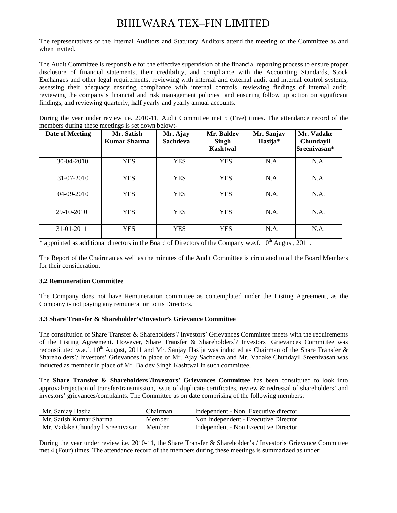The representatives of the Internal Auditors and Statutory Auditors attend the meeting of the Committee as and when invited.

The Audit Committee is responsible for the effective supervision of the financial reporting process to ensure proper disclosure of financial statements, their credibility, and compliance with the Accounting Standards, Stock Exchanges and other legal requirements, reviewing with internal and external audit and internal control systems, assessing their adequacy ensuring compliance with internal controls, reviewing findings of internal audit, reviewing the company's financial and risk management policies and ensuring follow up action on significant findings, and reviewing quarterly, half yearly and yearly annual accounts.

During the year under review i.e. 2010-11, Audit Committee met 5 (Five) times. The attendance record of the members during these meetings is set down below:-

| Date of Meeting  | Mr. Satish<br>Kumar Sharma | Mr. Ajay<br><b>Sachdeva</b> | Mr. Baldev<br>Singh<br><b>Kashtwal</b> | Mr. Sanjay<br>Hasija* | Mr. Vadake<br>Chundayil<br>Sreenivasan* |
|------------------|----------------------------|-----------------------------|----------------------------------------|-----------------------|-----------------------------------------|
| 30-04-2010       | <b>YES</b>                 | <b>YES</b>                  | <b>YES</b>                             | N.A.                  | N.A.                                    |
| 31-07-2010       | <b>YES</b>                 | <b>YES</b>                  | <b>YES</b>                             | N.A.                  | N.A.                                    |
| $04 - 09 - 2010$ | <b>YES</b>                 | <b>YES</b>                  | <b>YES</b>                             | N.A.                  | N.A.                                    |
| 29-10-2010       | <b>YES</b>                 | <b>YES</b>                  | <b>YES</b>                             | N.A.                  | N.A.                                    |
| $31 - 01 - 2011$ | <b>YES</b>                 | <b>YES</b>                  | <b>YES</b>                             | N.A.                  | N.A.                                    |

\* appointed as additional directors in the Board of Directors of the Company w.e.f. 10<sup>th</sup> August, 2011.

The Report of the Chairman as well as the minutes of the Audit Committee is circulated to all the Board Members for their consideration.

#### **3.2 Remuneration Committee**

The Company does not have Remuneration committee as contemplated under the Listing Agreement, as the Company is not paying any remuneration to its Directors.

#### **3.3 Share Transfer & Shareholder's/Investor's Grievance Committee**

The constitution of Share Transfer & Shareholders`/ Investors' Grievances Committee meets with the requirements of the Listing Agreement. However, Share Transfer & Shareholders`/ Investors' Grievances Committee was reconstituted w.e.f.  $10^{th}$  August, 2011 and Mr. Sanjay Hasija was inducted as Chairman of the Share Transfer & Shareholders`/ Investors' Grievances in place of Mr. Ajay Sachdeva and Mr. Vadake Chundayil Sreenivasan was inducted as member in place of Mr. Baldev Singh Kashtwal in such committee.

The **Share Transfer & Shareholders`/Investors' Grievances Committee** has been constituted to look into approval/rejection of transfer/transmission, issue of duplicate certificates, review & redressal of shareholders' and investors' grievances/complaints. The Committee as on date comprising of the following members:

| Mr. Sanjay Hasija                | Chairman | Independent - Non Executive director |
|----------------------------------|----------|--------------------------------------|
| Mr. Satish Kumar Sharma          | Member   | Non Independent - Executive Director |
| Mr. Vadake Chundavil Sreenivasan | Member   | Independent - Non Executive Director |

During the year under review i.e. 2010-11, the Share Transfer & Shareholder's / Investor's Grievance Committee met 4 (Four) times. The attendance record of the members during these meetings is summarized as under: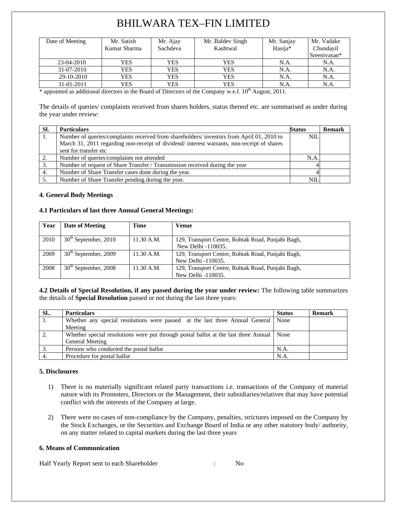| Date of Meeting | Mr. Satish<br>Kumar Sharma | Mr. Ajay<br>Sachdeva | Mr. Baldev Singh<br>Kashtwal | Mr. Sanjay<br>Hasija* | Mr. Vadake<br>Chundayil |
|-----------------|----------------------------|----------------------|------------------------------|-----------------------|-------------------------|
|                 |                            |                      |                              |                       | Sreenivasan*            |
| $23-04-2010$    | YES                        | YES                  | YES                          | N.A.                  | N.A.                    |
| 31-07-2010      | YES                        | YES                  | <b>YES</b>                   | N.A.                  | N.A.                    |
| 29-10-2010      | YES                        | <b>YES</b>           | <b>YES</b>                   | N.A.                  | N.A.                    |
| 31-01-2011      | YES                        | YES                  | <b>YES</b>                   | N.A.                  | N.A                     |

 $*$  appointed as additional directors in the Board of Directors of the Company w.e.f.  $10<sup>th</sup>$  August, 2011.

The details of queries/ complaints received from shares holders, status thereof etc. are summarised as under during the year under review:

| SI. | <b>Particulars</b>                                                                         | <b>Status</b> | <b>Remark</b> |
|-----|--------------------------------------------------------------------------------------------|---------------|---------------|
| 1.  | Number of queries/complaints received from shareholders/ investors from April 01, 2010 to  | NIL.          |               |
|     | March 31, 2011 regarding non-receipt of dividend/ interest warrants, non-receipt of shares |               |               |
|     | sent for transfer etc                                                                      |               |               |
| ۷.  | Number of queries/complaints not attended                                                  | N.A.          |               |
| 3.  | Number of request of Share Transfer / Transmission received during the year                |               |               |
| 4.  | Number of Share Transfer cases done during the year.                                       |               |               |
|     | Number of Share Transfer pending during the year.                                          | <b>NIL</b>    |               |

#### **4. General Body Meetings**

#### **4.1 Particulars of last three Annual General Meetings:**

| Year | Date of Meeting        | Time       | Venue                                                                   |
|------|------------------------|------------|-------------------------------------------------------------------------|
| 2010 | $30th$ September, 2010 | 11.30 A.M. | 129, Transport Centre, Rohtak Road, Punjabi Bagh,<br>New Delhi -110035. |
| 2009 | $30th$ September, 2009 | 11.30 A.M. | 129, Transport Centre, Rohtak Road, Punjabi Bagh,<br>New Delhi -110035. |
| 2008 | $30th$ September, 2008 | 11.30 A.M. | 129, Transport Centre, Rohtak Road, Punjabi Bagh,<br>New Delhi -110035. |

**4.2 Details of Special Resolution, if any passed during the year under review:** The following table summarizes the details of **Special Resolution** passed or not during the last three years:

| SL. | <b>Particulars</b>                                                                         | <b>Status</b> | <b>Remark</b> |
|-----|--------------------------------------------------------------------------------------------|---------------|---------------|
|     | Whether any special resolutions were passed at the last three Annual General   None        |               |               |
|     | Meeting                                                                                    |               |               |
|     | Whether special resolutions were put through postal ballot at the last three Annual   None |               |               |
|     | <b>General Meeting</b>                                                                     |               |               |
| 3.  | Persons who conducted the postal ballot                                                    | N.A.          |               |
|     | Procedure for postal ballot                                                                | N.A.          |               |

#### **5. Disclosures**

- 1) There is no materially significant related party transactions i.e. transactions of the Company of material nature with its Promoters, Directors or the Management, their subsidiaries/relatives that may have potential conflict with the interests of the Company at large.
- 2) There were no cases of non-compliance by the Company, penalties, strictures imposed on the Company by the Stock Exchanges, or the Securities and Exchange Board of India or any other statutory body/ authority, on any matter related to capital markets during the last three years

#### **6. Means of Communication**

Half Yearly Report sent to each Shareholder : No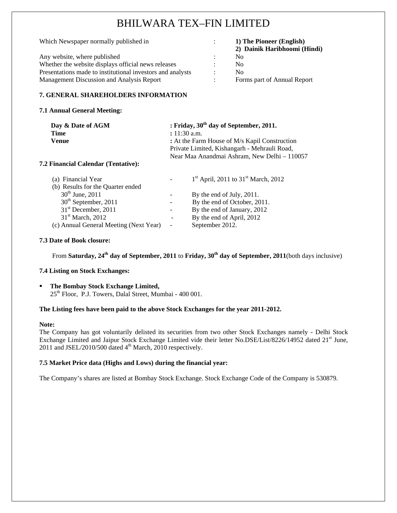|   | 1) The Pioneer (English)     |
|---|------------------------------|
|   | 2) Dainik Haribhoomi (Hindi) |
|   | Nο                           |
|   | No.                          |
| ٠ | No.                          |
|   | Forms part of Annual Report  |
|   |                              |

#### **7. GENERAL SHAREHOLDERS INFORMATION**

#### **7.1 Annual General Meeting:**

| Day & Date of AGM                  | : Friday, $30th$ day of September, 2011.      |
|------------------------------------|-----------------------------------------------|
| Time                               | $: 11:30$ a.m.                                |
| Venue                              | : At the Farm House of M/s Kapil Construction |
|                                    | Private Limited, Kishangarh - Mehrauli Road,  |
|                                    | Near Maa Anandmai Ashram, New Delhi – 110057  |
| 72 Einengiel Colender (Tentetive): |                                               |

#### **7.2 Financial Calendar (Tentative):**

| (a) Financial Year                     |                          | $1st$ April, 2011 to 31 <sup>st</sup> March, 2012 |
|----------------------------------------|--------------------------|---------------------------------------------------|
| (b) Results for the Quarter ended      |                          |                                                   |
| $30^{\text{th}}$ June, 2011            | $\overline{\phantom{a}}$ | By the end of July, 2011.                         |
| $30th$ September, 2011                 | $\blacksquare$           | By the end of October, 2011.                      |
| 31 <sup>st</sup> December, 2011        | $\overline{\phantom{a}}$ | By the end of January, 2012                       |
| $31st March$ , 2012                    |                          | By the end of April, 2012                         |
| (c) Annual General Meeting (Next Year) |                          | September 2012.                                   |

#### **7.3 Date of Book closure:**

From **Saturday, 24<sup>th</sup> day of September, 2011** to **Friday, 30<sup>th</sup> day of September, 2011**(both days inclusive)

#### **7.4 Listing on Stock Exchanges:**

 **The Bombay Stock Exchange Limited,** 25<sup>th</sup> Floor, P.J. Towers, Dalal Street, Mumbai - 400 001.

#### **The Listing fees have been paid to the above Stock Exchanges for the year 2011-2012.**

#### **Note:**

The Company has got voluntarily delisted its securities from two other Stock Exchanges namely - Delhi Stock Exchange Limited and Jaipur Stock Exchange Limited vide their letter No.DSE/List/8226/14952 dated 21<sup>st</sup> June, 2011 and JSEL/2010/500 dated 4<sup>th</sup> March, 2010 respectively.

#### **7.5 Market Price data (Highs and Lows) during the financial year:**

The Company's shares are listed at Bombay Stock Exchange. Stock Exchange Code of the Company is 530879.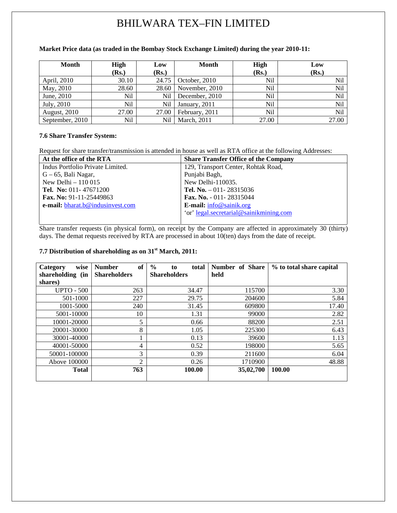| <b>Month</b>        | High  | Low   | Month          | High  | Low   |
|---------------------|-------|-------|----------------|-------|-------|
|                     | (Rs.) | (Rs.) |                | (Rs.) | (Rs.) |
| April, 2010         | 30.10 | 24.75 | October, 2010  | Nil   | Nil   |
| May, 2010           | 28.60 | 28.60 | November, 2010 | Nil   | Nil   |
| June, 2010          | Nil   | Nil   | December, 2010 | Nil   | Nil   |
| July, 2010          | Nil   | Nil   | January, 2011  | Nil   | Nil   |
| <b>August, 2010</b> | 27.00 | 27.00 | February, 2011 | Nil   | Nil   |
| September, 2010     | Nil   | Nil   | March, 2011    | 27.00 | 27.00 |

**Market Price data (as traded in the Bombay Stock Exchange Limited) during the year 2010-11:** 

### **7.6 Share Transfer System:**

Request for share transfer/transmission is attended in house as well as RTA office at the following Addresses:

| At the office of the RTA         | <b>Share Transfer Office of the Company</b>              |
|----------------------------------|----------------------------------------------------------|
| Indus Portfolio Private Limited. | 129, Transport Center, Rohtak Road,                      |
| $G-65$ , Bali Nagar,             | Punjabi Bagh,                                            |
| New Delhi $-110015$              | New Delhi-110035.                                        |
| <b>Tel. No:</b> 011-47671200     | <b>Tel. No.</b> $-011 - 28315036$                        |
| <b>Fax. No: 91-11-25449863</b>   | <b>Fax. No.</b> - 011 - 28315044                         |
| e-mail: bharat.b@indusinvest.com | <b>E-mail:</b> $\frac{info@sainik.org}{info@sainik.org}$ |
|                                  | 'or' legal.secretarial@sainikmining.com                  |
|                                  |                                                          |

Share transfer requests (in physical form), on receipt by the Company are affected in approximately 30 (thirty) days. The demat requests received by RTA are processed in about 10(ten) days from the date of receipt.

### **7.7 Distribution of shareholding as on 31st March, 2011:**

| wise<br>Category  | of<br><b>Number</b> | $\frac{6}{9}$<br>total<br>to | Number of Share | % to total share capital |
|-------------------|---------------------|------------------------------|-----------------|--------------------------|
| shareholding (in  | <b>Shareholders</b> | <b>Shareholders</b>          | held            |                          |
| shares)           |                     |                              |                 |                          |
| <b>UPTO - 500</b> | 263                 | 34.47                        | 115700          | 3.30                     |
| 501-1000          | 227                 | 29.75                        | 204600          | 5.84                     |
| 1001-5000         | 240                 | 31.45                        | 609800          | 17.40                    |
| 5001-10000        | 10                  | 1.31                         | 99000           | 2.82                     |
| 10001-20000       | 5                   | 0.66                         | 88200           | 2.51                     |
| 20001-30000       | 8                   | 1.05                         | 225300          | 6.43                     |
| 30001-40000       |                     | 0.13                         | 39600           | 1.13                     |
| 40001-50000       | 4                   | 0.52                         | 198000          | 5.65                     |
| 50001-100000      | 3                   | 0.39                         | 211600          | 6.04                     |
| Above 100000      | $\mathfrak{D}$      | 0.26                         | 1710900         | 48.88                    |
| <b>Total</b>      | 763                 | 100.00                       | 35,02,700       | 100.00                   |
|                   |                     |                              |                 |                          |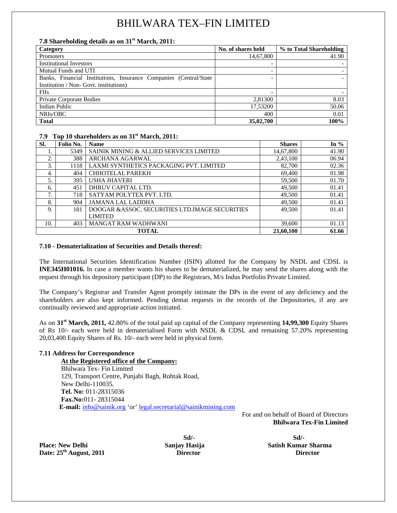#### **7.8 Shareholding details as on 31st March, 2011:**

| Category                                                           | No. of shares held | % to Total Shareholding |
|--------------------------------------------------------------------|--------------------|-------------------------|
| Promoters                                                          | 14,67,800          | 41.90                   |
| <b>Institutional Investors</b>                                     |                    |                         |
| Mutual Funds and UTI                                               |                    |                         |
| Banks, Financial Institutions, Insurance Companies (Central/State) |                    |                         |
| Institution / Non- Govt. institutions)                             |                    |                         |
| <b>FIIs</b>                                                        |                    |                         |
| <b>Private Corporate Bodies</b>                                    | 2,81300            | 8.03                    |
| Indian Public                                                      | 17,53200           | 50.06                   |
| NRIs/OBC                                                           | 400                | 0.01                    |
| <b>Total</b>                                                       | 35,02,700          | 100%                    |

#### **7.9 Top 10 shareholders as on 31st March, 2011:**

| SI. | Folio No. | <b>Name</b>                                     | <b>Shares</b> | In $%$ |
|-----|-----------|-------------------------------------------------|---------------|--------|
|     | 5349      | SAINIK MINING & ALLIED SERVICES LIMITED         | 14,67,800     | 41.90  |
| 2.  | 388       | ARCHANA AGARWAL                                 | 2,43,100      | 06.94  |
| 3.  | 1118      | LAXMI SYNTHETICS PACKAGING PVT. LIMITED         | 82,700        | 02.36  |
| 4.  | 404       | <b>CHHOTELAL PAREKH</b>                         | 69,400        | 01.98  |
| 5.  | 395       | <b>USHA JHAVERI</b>                             | 59,500        | 01.70  |
| 6.  | 451       | DHRUV CAPITAL LTD.                              | 49,500        | 01.41  |
| 7.  | 718       | SATYAM POLYTEX PVT. LTD.                        | 49,500        | 01.41  |
| 8.  | 904       | <b>JAMANA LAL LADDHA</b>                        | 49,500        | 01.41  |
| 9.  | 181       | DOOGAR & ASSOC. SECURITIES LTD.IMAGE SECURITIES | 49,500        | 01.41  |
|     |           | <b>LIMITED</b>                                  |               |        |
| 10. | 403       | <b>MANGAT RAM WADHWANI</b>                      | 39,600        | 01.13  |
|     |           | <b>TOTAL</b>                                    | 21,60,100     | 61.66  |

#### **7.10 - Dematerialization of Securities and Details thereof:**

The International Securities Identification Number (ISIN) allotted for the Company by NSDL and CDSL is **INE345H01016.** In case a member wants his shares to be dematerialized, he may send the shares along with the request through his depository participant (DP) to the Registrars, M/s Indus Portfolio Private Limited.

The Company's Registrar and Transfer Agent promptly intimate the DPs in the event of any deficiency and the shareholders are also kept informed. Pending demat requests in the records of the Depositories, if any are continually reviewed and appropriate action initiated.

As on **31st March, 2011,** 42.80% of the total paid up capital of the Company representing **14,99,300** Equity Shares of Rs 10/- each were held in dematerialised Form with NSDL & CDSL and remaining 57.20% representing 20,03,400 Equity Shares of Rs. 10/- each were held in physical form.

#### **7.11 Address for Correspondence**

**At the Registered office of the Company:** Bhilwara Tex- Fin Limited 129, Transport Centre, Punjabi Bagh, Rohtak Road, New Delhi-110035. **Tel. No:** 011-28315036 **Fax.No:**011- 28315044  **E-mail:** info@sainik.org 'or' legal.secretarial@sainikmining.com

For and on behalf of Board of Directors **Bhilwara Tex-Fin Limited** 

Date:  $25<sup>th</sup>$  August, 2011 Director **Director Director** 

 **Sd/- Sd/-** 

**Place: New Delhi Sanjay Hasija** Satish Kumar Sharma **Sharma Sharma Sharma Sharma Sharma Sharma Sharma Sharma Sharma Sharma Sharma Sharma Sharma Sharma Sharma Sharma Sharma Sharma Shar**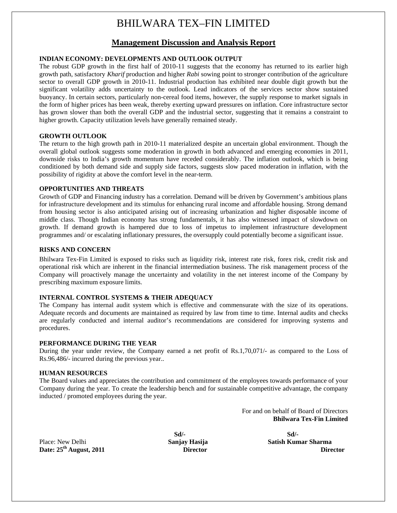### **Management Discussion and Analysis Report**

#### **INDIAN ECONOMY: DEVELOPMENTS AND OUTLOOK OUTPUT**

The robust GDP growth in the first half of 2010-11 suggests that the economy has returned to its earlier high growth path, satisfactory *Kharif* production and higher *Rabi* sowing point to stronger contribution of the agriculture sector to overall GDP growth in 2010-11. Industrial production has exhibited near double digit growth but the significant volatility adds uncertainty to the outlook. Lead indicators of the services sector show sustained buoyancy. In certain sectors, particularly non-cereal food items, however, the supply response to market signals in the form of higher prices has been weak, thereby exerting upward pressures on inflation. Core infrastructure sector has grown slower than both the overall GDP and the industrial sector, suggesting that it remains a constraint to higher growth. Capacity utilization levels have generally remained steady.

#### **GROWTH OUTLOOK**

The return to the high growth path in 2010-11 materialized despite an uncertain global environment. Though the overall global outlook suggests some moderation in growth in both advanced and emerging economies in 2011, downside risks to India's growth momentum have receded considerably. The inflation outlook, which is being conditioned by both demand side and supply side factors, suggests slow paced moderation in inflation, with the possibility of rigidity at above the comfort level in the near-term.

#### **OPPORTUNITIES AND THREATS**

Growth of GDP and Financing industry has a correlation. Demand will be driven by Government's ambitious plans for infrastructure development and its stimulus for enhancing rural income and affordable housing. Strong demand from housing sector is also anticipated arising out of increasing urbanization and higher disposable income of middle class. Though Indian economy has strong fundamentals, it has also witnessed impact of slowdown on growth. If demand growth is hampered due to loss of impetus to implement infrastructure development programmes and/ or escalating inflationary pressures, the oversupply could potentially become a significant issue.

#### **RISKS AND CONCERN**

Bhilwara Tex-Fin Limited is exposed to risks such as liquidity risk, interest rate risk, forex risk, credit risk and operational risk which are inherent in the financial intermediation business. The risk management process of the Company will proactively manage the uncertainty and volatility in the net interest income of the Company by prescribing maximum exposure limits.

#### **INTERNAL CONTROL SYSTEMS & THEIR ADEQUACY**

The Company has internal audit system which is effective and commensurate with the size of its operations. Adequate records and documents are maintained as required by law from time to time. Internal audits and checks are regularly conducted and internal auditor's recommendations are considered for improving systems and procedures.

#### **PERFORMANCE DURING THE YEAR**

During the year under review, the Company earned a net profit of Rs.1,70,071/- as compared to the Loss of Rs.96,486/- incurred during the previous year..

#### **HUMAN RESOURCES**

The Board values and appreciates the contribution and commitment of the employees towards performance of your Company during the year. To create the leadership bench and for sustainable competitive advantage, the company inducted / promoted employees during the year.

> For and on behalf of Board of Directors **Bhilwara Tex-Fin Limited**

**Sd/- Sd/-** 

Place: New Delhi **Sanjay Hasija Satish Kumar Sharma Date: 25<sup>th</sup> August, 2011 Director Director Director**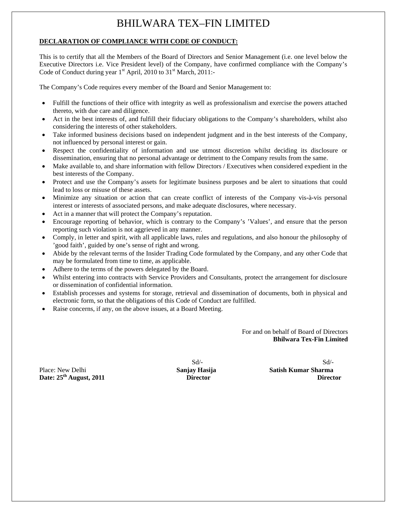#### **DECLARATION OF COMPLIANCE WITH CODE OF CONDUCT:**

This is to certify that all the Members of the Board of Directors and Senior Management (i.e. one level below the Executive Directors i.e. Vice President level) of the Company, have confirmed compliance with the Company's Code of Conduct during year  $1<sup>st</sup>$  April, 2010 to 31 $<sup>st</sup>$  March, 2011:-</sup>

The Company's Code requires every member of the Board and Senior Management to:

- Fulfill the functions of their office with integrity as well as professionalism and exercise the powers attached thereto, with due care and diligence.
- Act in the best interests of, and fulfill their fiduciary obligations to the Company's shareholders, whilst also considering the interests of other stakeholders.
- Take informed business decisions based on independent judgment and in the best interests of the Company, not influenced by personal interest or gain.
- Respect the confidentiality of information and use utmost discretion whilst deciding its disclosure or dissemination, ensuring that no personal advantage or detriment to the Company results from the same.
- Make available to, and share information with fellow Directors / Executives when considered expedient in the best interests of the Company.
- Protect and use the Company's assets for legitimate business purposes and be alert to situations that could lead to loss or misuse of these assets.
- Minimize any situation or action that can create conflict of interests of the Company vis-à-vis personal interest or interests of associated persons, and make adequate disclosures, where necessary.
- Act in a manner that will protect the Company's reputation.
- Encourage reporting of behavior, which is contrary to the Company's 'Values', and ensure that the person reporting such violation is not aggrieved in any manner.
- Comply, in letter and spirit, with all applicable laws, rules and regulations, and also honour the philosophy of 'good faith', guided by one's sense of right and wrong.
- Abide by the relevant terms of the Insider Trading Code formulated by the Company, and any other Code that may be formulated from time to time, as applicable.
- Adhere to the terms of the powers delegated by the Board.
- Whilst entering into contracts with Service Providers and Consultants, protect the arrangement for disclosure or dissemination of confidential information.
- Establish processes and systems for storage, retrieval and dissemination of documents, both in physical and electronic form, so that the obligations of this Code of Conduct are fulfilled.
- Raise concerns, if any, on the above issues, at a Board Meeting.

For and on behalf of Board of Directors **Bhilwara Tex-Fin Limited** 

Place: New Delhi **Sanjay Hasija Satish Kumar Sharma** 

 $Sd$ -**Date: 25<sup>th</sup> August, 2011 Director Director Director Director Director**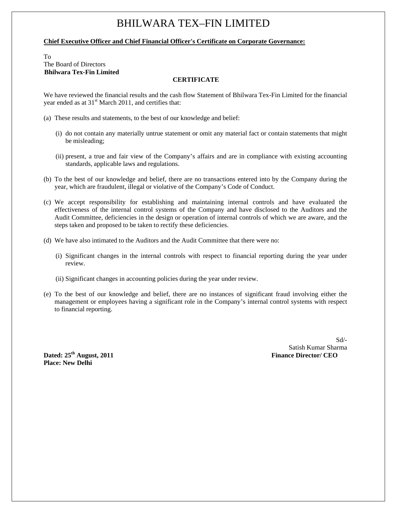#### **Chief Executive Officer and Chief Financial Officer's Certificate on Corporate Governance:**

To The Board of Directors  **Bhilwara Tex-Fin Limited** 

#### **CERTIFICATE**

We have reviewed the financial results and the cash flow Statement of Bhilwara Tex-Fin Limited for the financial year ended as at  $31<sup>st</sup>$  March 2011, and certifies that:

- (a) These results and statements, to the best of our knowledge and belief:
	- (i) do not contain any materially untrue statement or omit any material fact or contain statements that might be misleading;
	- (ii) present, a true and fair view of the Company's affairs and are in compliance with existing accounting standards, applicable laws and regulations.
- (b) To the best of our knowledge and belief, there are no transactions entered into by the Company during the year, which are fraudulent, illegal or violative of the Company's Code of Conduct.
- (c) We accept responsibility for establishing and maintaining internal controls and have evaluated the effectiveness of the internal control systems of the Company and have disclosed to the Auditors and the Audit Committee, deficiencies in the design or operation of internal controls of which we are aware, and the steps taken and proposed to be taken to rectify these deficiencies.
- (d) We have also intimated to the Auditors and the Audit Committee that there were no:
	- (i) Significant changes in the internal controls with respect to financial reporting during the year under review.
	- (ii) Significant changes in accounting policies during the year under review.
- (e) To the best of our knowledge and belief, there are no instances of significant fraud involving either the management or employees having a significant role in the Company's internal control systems with respect to financial reporting.

Sd/- Satish Kumar Sharma **Dated: 25<sup>th</sup> August, 2011 Finance Director/ CEO Finance Director/ CEO** 

**Place: New Delhi**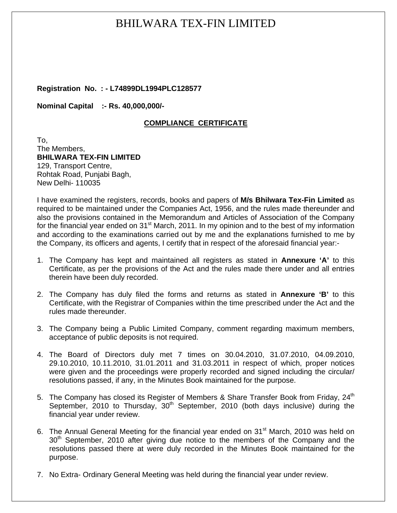**Registration No. : - L74899DL1994PLC128577** 

**Nominal Capital :- Rs. 40,000,000/-**

### **COMPLIANCE CERTIFICATE**

To, The Members, **BHILWARA TEX-FIN LIMITED**  129, Transport Centre, Rohtak Road, Punjabi Bagh, New Delhi- 110035

I have examined the registers, records, books and papers of **M/s Bhilwara Tex-Fin Limited** as required to be maintained under the Companies Act, 1956, and the rules made thereunder and also the provisions contained in the Memorandum and Articles of Association of the Company for the financial year ended on 31<sup>st</sup> March, 2011. In my opinion and to the best of my information and according to the examinations carried out by me and the explanations furnished to me by the Company, its officers and agents, I certify that in respect of the aforesaid financial year:-

- 1. The Company has kept and maintained all registers as stated in **Annexure 'A'** to this Certificate, as per the provisions of the Act and the rules made there under and all entries therein have been duly recorded.
- 2. The Company has duly filed the forms and returns as stated in **Annexure 'B'** to this Certificate, with the Registrar of Companies within the time prescribed under the Act and the rules made thereunder.
- 3. The Company being a Public Limited Company, comment regarding maximum members, acceptance of public deposits is not required.
- 4. The Board of Directors duly met 7 times on 30.04.2010, 31.07.2010, 04.09.2010, 29.10.2010, 10.11.2010, 31.01.2011 and 31.03.2011 in respect of which, proper notices were given and the proceedings were properly recorded and signed including the circular/ resolutions passed, if any, in the Minutes Book maintained for the purpose.
- 5. The Company has closed its Register of Members & Share Transfer Book from Friday, 24<sup>th</sup> September, 2010 to Thursday,  $30<sup>th</sup>$  September, 2010 (both days inclusive) during the financial year under review.
- 6. The Annual General Meeting for the financial year ended on 31<sup>st</sup> March, 2010 was held on 30<sup>th</sup> September, 2010 after giving due notice to the members of the Company and the resolutions passed there at were duly recorded in the Minutes Book maintained for the purpose.
- 7. No Extra- Ordinary General Meeting was held during the financial year under review.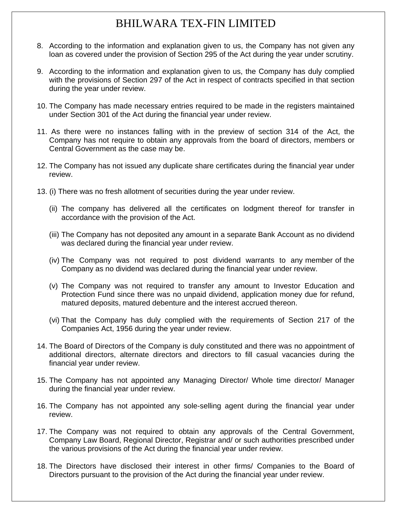- 8. According to the information and explanation given to us, the Company has not given any loan as covered under the provision of Section 295 of the Act during the year under scrutiny.
- 9. According to the information and explanation given to us, the Company has duly complied with the provisions of Section 297 of the Act in respect of contracts specified in that section during the year under review.
- 10. The Company has made necessary entries required to be made in the registers maintained under Section 301 of the Act during the financial year under review.
- 11. As there were no instances falling with in the preview of section 314 of the Act, the Company has not require to obtain any approvals from the board of directors, members or Central Government as the case may be.
- 12. The Company has not issued any duplicate share certificates during the financial year under review.
- 13. (i) There was no fresh allotment of securities during the year under review.
	- (ii) The company has delivered all the certificates on lodgment thereof for transfer in accordance with the provision of the Act.
	- (iii) The Company has not deposited any amount in a separate Bank Account as no dividend was declared during the financial year under review.
	- (iv) The Company was not required to post dividend warrants to any member of the Company as no dividend was declared during the financial year under review.
	- (v) The Company was not required to transfer any amount to Investor Education and Protection Fund since there was no unpaid dividend, application money due for refund, matured deposits, matured debenture and the interest accrued thereon.
	- (vi) That the Company has duly complied with the requirements of Section 217 of the Companies Act, 1956 during the year under review.
- 14. The Board of Directors of the Company is duly constituted and there was no appointment of additional directors, alternate directors and directors to fill casual vacancies during the financial year under review.
- 15. The Company has not appointed any Managing Director/ Whole time director/ Manager during the financial year under review.
- 16. The Company has not appointed any sole-selling agent during the financial year under review.
- 17. The Company was not required to obtain any approvals of the Central Government, Company Law Board, Regional Director, Registrar and/ or such authorities prescribed under the various provisions of the Act during the financial year under review.
- 18. The Directors have disclosed their interest in other firms/ Companies to the Board of Directors pursuant to the provision of the Act during the financial year under review.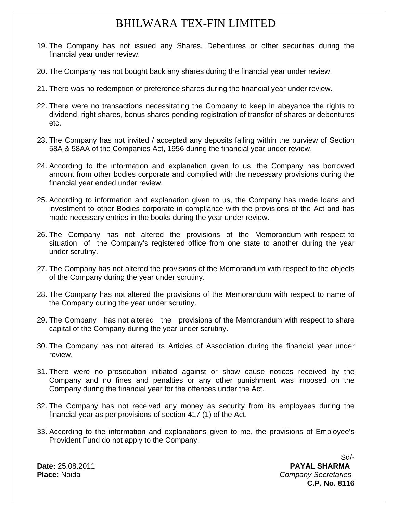- 19. The Company has not issued any Shares, Debentures or other securities during the financial year under review.
- 20. The Company has not bought back any shares during the financial year under review.
- 21. There was no redemption of preference shares during the financial year under review.
- 22. There were no transactions necessitating the Company to keep in abeyance the rights to dividend, right shares, bonus shares pending registration of transfer of shares or debentures etc.
- 23. The Company has not invited / accepted any deposits falling within the purview of Section 58A & 58AA of the Companies Act, 1956 during the financial year under review.
- 24. According to the information and explanation given to us, the Company has borrowed amount from other bodies corporate and complied with the necessary provisions during the financial year ended under review.
- 25. According to information and explanation given to us, the Company has made loans and investment to other Bodies corporate in compliance with the provisions of the Act and has made necessary entries in the books during the year under review.
- 26. The Company has not altered the provisions of the Memorandum with respect to situation of the Company's registered office from one state to another during the year under scrutiny.
- 27. The Company has not altered the provisions of the Memorandum with respect to the objects of the Company during the year under scrutiny.
- 28. The Company has not altered the provisions of the Memorandum with respect to name of the Company during the year under scrutiny.
- 29. The Company has not altered the provisions of the Memorandum with respect to share capital of the Company during the year under scrutiny.
- 30. The Company has not altered its Articles of Association during the financial year under review.
- 31. There were no prosecution initiated against or show cause notices received by the Company and no fines and penalties or any other punishment was imposed on the Company during the financial year for the offences under the Act.
- 32. The Company has not received any money as security from its employees during the financial year as per provisions of section 417 (1) of the Act.
- 33. According to the information and explanations given to me, the provisions of Employee's Provident Fund do not apply to the Company.

Sd/- **Date:** 25.08.2011 **PAYAL SHARMA Place:** Noida *Company Secretaries*  **C.P. No. 8116**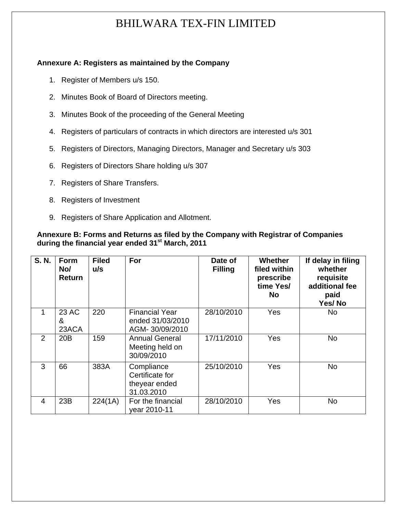### **Annexure A: Registers as maintained by the Company**

- 1. Register of Members u/s 150.
- 2. Minutes Book of Board of Directors meeting.
- 3. Minutes Book of the proceeding of the General Meeting
- 4. Registers of particulars of contracts in which directors are interested u/s 301
- 5. Registers of Directors, Managing Directors, Manager and Secretary u/s 303
- 6. Registers of Directors Share holding u/s 307
- 7. Registers of Share Transfers.
- 8. Registers of Investment
- 9. Registers of Share Application and Allotment.

### **Annexure B: Forms and Returns as filed by the Company with Registrar of Companies during the financial year ended 31st March, 2011**

| <b>S. N.</b> | <b>Form</b><br>No/<br><b>Return</b> | <b>Filed</b><br>u/s | For                                                          | Date of<br><b>Filling</b> | <b>Whether</b><br>filed within<br>prescribe<br>time Yes/<br><b>No</b> | If delay in filing<br>whether<br>requisite<br>additional fee<br>paid<br>Yes/No |
|--------------|-------------------------------------|---------------------|--------------------------------------------------------------|---------------------------|-----------------------------------------------------------------------|--------------------------------------------------------------------------------|
| 1            | 23 AC<br>&<br>23ACA                 | 220                 | <b>Financial Year</b><br>ended 31/03/2010<br>AGM-30/09/2010  | 28/10/2010                | Yes                                                                   | <b>No</b>                                                                      |
| 2            | 20B                                 | 159                 | <b>Annual General</b><br>Meeting held on<br>30/09/2010       | 17/11/2010                | Yes                                                                   | <b>No</b>                                                                      |
| 3            | 66                                  | 383A                | Compliance<br>Certificate for<br>theyear ended<br>31.03.2010 | 25/10/2010                | Yes                                                                   | <b>No</b>                                                                      |
| 4            | 23B                                 | 224(1A)             | For the financial<br>year 2010-11                            | 28/10/2010                | Yes                                                                   | <b>No</b>                                                                      |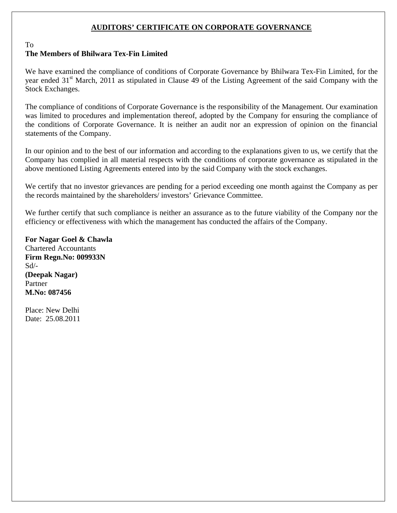### **AUDITORS' CERTIFICATE ON CORPORATE GOVERNANCE**

### To **The Members of Bhilwara Tex-Fin Limited**

We have examined the compliance of conditions of Corporate Governance by Bhilwara Tex-Fin Limited, for the year ended 31<sup>st</sup> March, 2011 as stipulated in Clause 49 of the Listing Agreement of the said Company with the Stock Exchanges.

The compliance of conditions of Corporate Governance is the responsibility of the Management. Our examination was limited to procedures and implementation thereof, adopted by the Company for ensuring the compliance of the conditions of Corporate Governance. It is neither an audit nor an expression of opinion on the financial statements of the Company.

In our opinion and to the best of our information and according to the explanations given to us, we certify that the Company has complied in all material respects with the conditions of corporate governance as stipulated in the above mentioned Listing Agreements entered into by the said Company with the stock exchanges.

We certify that no investor grievances are pending for a period exceeding one month against the Company as per the records maintained by the shareholders/ investors' Grievance Committee.

We further certify that such compliance is neither an assurance as to the future viability of the Company nor the efficiency or effectiveness with which the management has conducted the affairs of the Company.

**For Nagar Goel & Chawla**  Chartered Accountants **Firm Regn.No: 009933N**  Sd/- **(Deepak Nagar)**  Partner **M.No: 087456** 

Place: New Delhi Date: 25.08.2011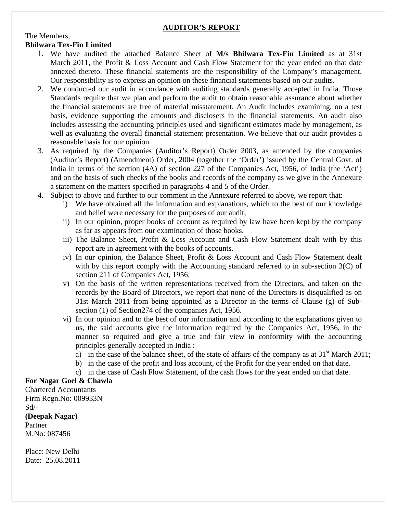### **AUDITOR'S REPORT**

### The Members,

### **Bhilwara Tex-Fin Limited**

- 1. We have audited the attached Balance Sheet of **M/s Bhilwara Tex-Fin Limited** as at 31st March 2011, the Profit & Loss Account and Cash Flow Statement for the year ended on that date annexed thereto. These financial statements are the responsibility of the Company's management. Our responsibility is to express an opinion on these financial statements based on our audits.
- 2. We conducted our audit in accordance with auditing standards generally accepted in India. Those Standards require that we plan and perform the audit to obtain reasonable assurance about whether the financial statements are free of material misstatement. An Audit includes examining, on a test basis, evidence supporting the amounts and disclosers in the financial statements. An audit also includes assessing the accounting principles used and significant estimates made by management, as well as evaluating the overall financial statement presentation. We believe that our audit provides a reasonable basis for our opinion.
- 3. As required by the Companies (Auditor's Report) Order 2003, as amended by the companies (Auditor's Report) (Amendment) Order, 2004 (together the 'Order') issued by the Central Govt. of India in terms of the section (4A) of section 227 of the Companies Act, 1956, of India (the 'Act') and on the basis of such checks of the books and records of the company as we give in the Annexure a statement on the matters specified in paragraphs 4 and 5 of the Order.
- 4. Subject to above and further to our comment in the Annexure referred to above, we report that:
	- i) We have obtained all the information and explanations, which to the best of our knowledge and belief were necessary for the purposes of our audit;
	- ii) In our opinion, proper books of account as required by law have been kept by the company as far as appears from our examination of those books.
	- iii) The Balance Sheet, Profit & Loss Account and Cash Flow Statement dealt with by this report are in agreement with the books of accounts.
	- iv) In our opinion, the Balance Sheet, Profit & Loss Account and Cash Flow Statement dealt with by this report comply with the Accounting standard referred to in sub-section 3(C) of section 211 of Companies Act, 1956.
	- v) On the basis of the written representations received from the Directors, and taken on the records by the Board of Directors, we report that none of the Directors is disqualified as on 31st March 2011 from being appointed as a Director in the terms of Clause (g) of Subsection (1) of Section274 of the companies Act, 1956.
	- vi) In our opinion and to the best of our information and according to the explanations given to us, the said accounts give the information required by the Companies Act, 1956, in the manner so required and give a true and fair view in conformity with the accounting principles generally accepted in India :
		- a) in the case of the balance sheet, of the state of affairs of the company as at  $31<sup>st</sup>$  March 2011;
		- b) in the case of the profit and loss account, of the Profit for the year ended on that date.
		- c) in the case of Cash Flow Statement, of the cash flows for the year ended on that date.

### **For Nagar Goel & Chawla**

Chartered Accountants Firm Regn.No: 009933N Sd/- **(Deepak Nagar)**  Partner M.No: 087456

Place: New Delhi Date: 25.08.2011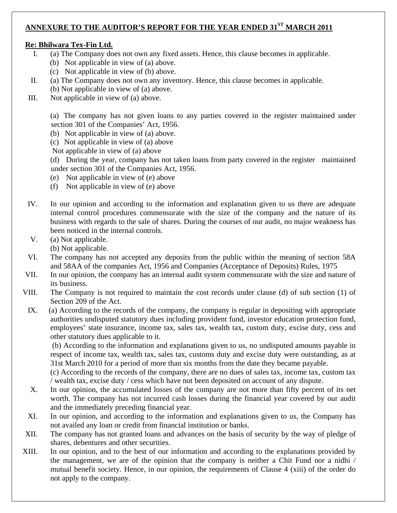### **ANNEXURE TO THE AUDITOR'S REPORT FOR THE YEAR ENDED 31ST MARCH 2011**

### **Re: Bhilwara Tex-Fin Ltd.**

- I. (a) The Company does not own any fixed assets. Hence, this clause becomes in applicable.
	- (b) Not applicable in view of (a) above.
	- (c) Not applicable in view of (b) above.
- II. (a) The Company does not own any inventory. Hence, this clause becomes in applicable. (b) Not applicable in view of (a) above.
- III. Not applicable in view of (a) above.

(a) The company has not given loans to any parties covered in the register maintained under section 301 of the Companies' Act, 1956.

- (b) Not applicable in view of (a) above.
- (c) Not applicable in view of (a) above
- Not applicable in view of (a) above

(d) During the year, company has not taken loans from party covered in the register maintained under section 301 of the Companies Act, 1956.

- (e) Not applicable in view of (e) above
- (f) Not applicable in view of (e) above
- IV. In our opinion and according to the information and explanation given to us there are adequate internal control procedures commensurate with the size of the company and the nature of its business with regards to the sale of shares. During the courses of our audit, no major weakness has been noticed in the internal controls.
- V. (a) Not applicable.

(b) Not applicable.

- VI. The company has not accepted any deposits from the public within the meaning of section 58A and 58AA of the companies Act, 1956 and Companies (Acceptance of Deposits) Rules, 1975
- VII. In our opinion, the company has an internal audit system commensurate with the size and nature of its business.
- VIII. The Company is not required to maintain the cost records under clause (d) of sub section (1) of Section 209 of the Act.
	- IX. (a) According to the records of the company, the company is regular in depositing with appropriate authorities undisputed statutory dues including provident fund, investor education protection fund, employees' state insurance, income tax, sales tax, wealth tax, custom duty, excise duty, cess and other statutory dues applicable to it.

 (b) According to the information and explanations given to us, no undisputed amounts payable in respect of income tax, wealth tax, sales tax, customs duty and excise duty were outstanding, as at 31st March 2010 for a period of more than six months from the date they became payable.

(c) According to the records of the company, there are no dues of sales tax, income tax, custom tax / wealth tax, excise duty / cess which have not been deposited on account of any dispute.

- X. In our opinion, the accumulated losses of the company are not more than fifty percent of its net worth. The company has not incurred cash losses during the financial year covered by our audit and the immediately preceding financial year.
- XI. In our opinion, and according to the information and explanations given to us, the Company has not availed any loan or credit from financial institution or banks.
- XII. The company has not granted loans and advances on the basis of security by the way of pledge of shares, debentures and other securities.
- XIII. In our opinion, and to the best of our information and according to the explanations provided by the management, we are of the opinion that the company is neither a Chit Fund nor a nidhi / mutual benefit society. Hence, in our opinion, the requirements of Clause 4 (xiii) of the order do not apply to the company.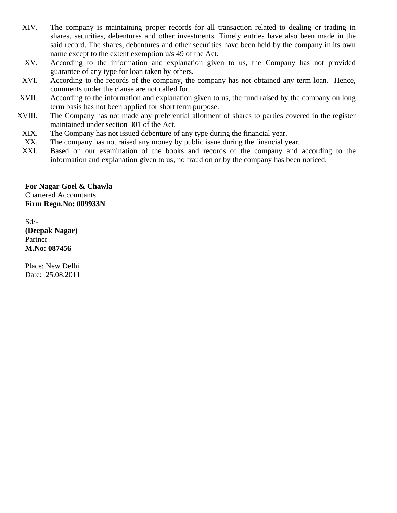- XIV. The company is maintaining proper records for all transaction related to dealing or trading in shares, securities, debentures and other investments. Timely entries have also been made in the said record. The shares, debentures and other securities have been held by the company in its own name except to the extent exemption u/s 49 of the Act.
- XV. According to the information and explanation given to us, the Company has not provided guarantee of any type for loan taken by others.
- XVI. According to the records of the company, the company has not obtained any term loan. Hence, comments under the clause are not called for.
- XVII. According to the information and explanation given to us, the fund raised by the company on long term basis has not been applied for short term purpose.
- XVIII. The Company has not made any preferential allotment of shares to parties covered in the register maintained under section 301 of the Act.
- XIX. The Company has not issued debenture of any type during the financial year.
- XX. The company has not raised any money by public issue during the financial year.
- XXI. Based on our examination of the books and records of the company and according to the information and explanation given to us, no fraud on or by the company has been noticed.

**For Nagar Goel & Chawla**  Chartered Accountants **Firm Regn.No: 009933N** 

Sd/- **(Deepak Nagar)**  Partner **M.No: 087456** 

Place: New Delhi Date: 25.08.2011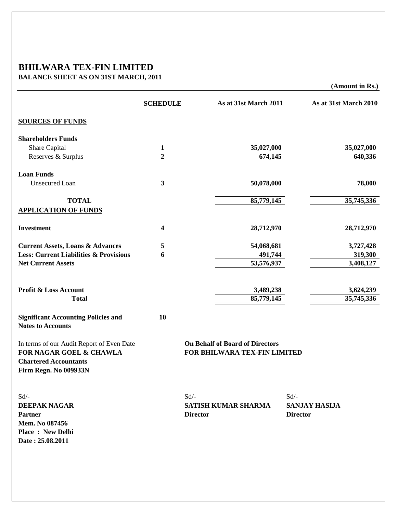### **BHILWARA TEX-FIN LIMITED BALANCE SHEET AS ON 31ST MARCH, 2011**

**(Amount in Rs.)**

|                                                                                                                                          | <b>SCHEDULE</b> | As at 31st March 2011                                                  | As at 31st March 2010                              |
|------------------------------------------------------------------------------------------------------------------------------------------|-----------------|------------------------------------------------------------------------|----------------------------------------------------|
| <b>SOURCES OF FUNDS</b>                                                                                                                  |                 |                                                                        |                                                    |
| <b>Shareholders Funds</b>                                                                                                                |                 |                                                                        |                                                    |
| Share Capital                                                                                                                            | 1               | 35,027,000                                                             | 35,027,000                                         |
| Reserves & Surplus                                                                                                                       | $\overline{2}$  | 674,145                                                                | 640,336                                            |
| <b>Loan Funds</b>                                                                                                                        |                 |                                                                        |                                                    |
| <b>Unsecured Loan</b>                                                                                                                    | 3               | 50,078,000                                                             | 78,000                                             |
| <b>TOTAL</b>                                                                                                                             |                 | 85,779,145                                                             | 35,745,336                                         |
| <b>APPLICATION OF FUNDS</b>                                                                                                              |                 |                                                                        |                                                    |
| Investment                                                                                                                               | 4               | 28,712,970                                                             | 28,712,970                                         |
| <b>Current Assets, Loans &amp; Advances</b>                                                                                              | 5               | 54,068,681                                                             | 3,727,428                                          |
| <b>Less: Current Liabilities &amp; Provisions</b>                                                                                        | 6               | 491,744                                                                | 319,300                                            |
| <b>Net Current Assets</b>                                                                                                                |                 | 53,576,937                                                             | 3,408,127                                          |
|                                                                                                                                          |                 |                                                                        |                                                    |
| <b>Profit &amp; Loss Account</b>                                                                                                         |                 | 3,489,238                                                              | 3,624,239                                          |
| <b>Total</b>                                                                                                                             |                 | 85,779,145                                                             | 35,745,336                                         |
| <b>Significant Accounting Policies and</b><br><b>Notes to Accounts</b>                                                                   | 10              |                                                                        |                                                    |
| In terms of our Audit Report of Even Date<br><b>FOR NAGAR GOEL &amp; CHAWLA</b><br><b>Chartered Accountants</b><br>Firm Regn. No 009933N |                 | <b>On Behalf of Board of Directors</b><br>FOR BHILWARA TEX-FIN LIMITED |                                                    |
| $Sd$ /-<br><b>DEEPAK NAGAR</b><br><b>Partner</b><br>Mem. No 087456<br><b>Place: New Delhi</b><br>Date: 25.08.2011                        |                 | $Sd$ /-<br><b>SATISH KUMAR SHARMA</b><br><b>Director</b>               | $Sd$ /-<br><b>SANJAY HASIJA</b><br><b>Director</b> |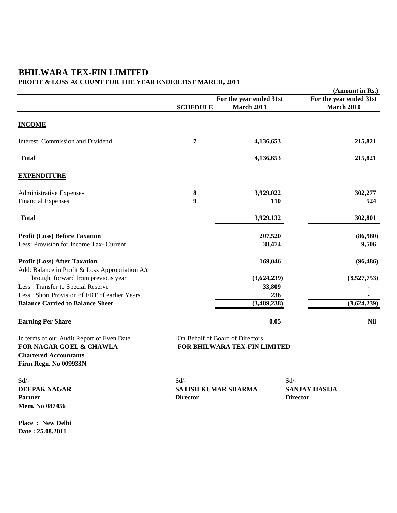### **BHILWARA TEX-FIN LIMITED PROFIT & LOSS ACCOUNT FOR THE YEAR ENDED 31ST MARCH, 2011**

|                                                                                                                               |                 |                                                                 |                      | (Amount in Rs.)         |
|-------------------------------------------------------------------------------------------------------------------------------|-----------------|-----------------------------------------------------------------|----------------------|-------------------------|
|                                                                                                                               |                 | For the year ended 31st                                         |                      | For the year ended 31st |
|                                                                                                                               | <b>SCHEDULE</b> | <b>March 2011</b>                                               |                      | <b>March 2010</b>       |
| <b>INCOME</b>                                                                                                                 |                 |                                                                 |                      |                         |
| Interest, Commission and Dividend                                                                                             | 7               | 4,136,653                                                       |                      | 215,821                 |
| <b>Total</b>                                                                                                                  |                 | 4,136,653                                                       |                      | 215,821                 |
| <b>EXPENDITURE</b>                                                                                                            |                 |                                                                 |                      |                         |
| Administrative Expenses                                                                                                       | 8               | 3,929,022                                                       |                      | 302,277                 |
| <b>Financial Expenses</b>                                                                                                     | 9               | 110                                                             |                      | 524                     |
| <b>Total</b>                                                                                                                  |                 | 3,929,132                                                       |                      | 302,801                 |
| <b>Profit (Loss) Before Taxation</b>                                                                                          |                 | 207,520                                                         |                      | (86,980)                |
| Less: Provision for Income Tax- Current                                                                                       |                 | 38,474                                                          |                      | 9,506                   |
| <b>Profit (Loss) After Taxation</b><br>Add: Balance in Profit & Loss Appropriation A/c                                        |                 | 169,046                                                         |                      | (96, 486)               |
| brought forward from previous year                                                                                            |                 | (3,624,239)                                                     |                      | (3,527,753)             |
| Less: Transfer to Special Reserve                                                                                             |                 | 33,809                                                          |                      |                         |
| Less: Short Provision of FBT of earlier Years                                                                                 |                 | 236                                                             |                      |                         |
| <b>Balance Carried to Balance Sheet</b>                                                                                       |                 | (3,489,238)                                                     |                      | (3,624,239)             |
| <b>Earning Per Share</b>                                                                                                      |                 | 0.05                                                            |                      | <b>Nil</b>              |
| In terms of our Audit Report of Even Date<br>FOR NAGAR GOEL & CHAWLA<br><b>Chartered Accountants</b><br>Firm Regn. No 009933N |                 | On Behalf of Board of Directors<br>FOR BHILWARA TEX-FIN LIMITED |                      |                         |
| $Sd/-$                                                                                                                        | Sd/-            |                                                                 | $Sd$ /-              |                         |
| <b>DEEPAK NAGAR</b>                                                                                                           |                 | <b>SATISH KUMAR SHARMA</b>                                      | <b>SANJAY HASIJA</b> |                         |
| <b>Partner</b><br>Mem. No 087456                                                                                              | <b>Director</b> |                                                                 | <b>Director</b>      |                         |
| <b>Place: New Delhi</b><br>Date: 25.08.2011                                                                                   |                 |                                                                 |                      |                         |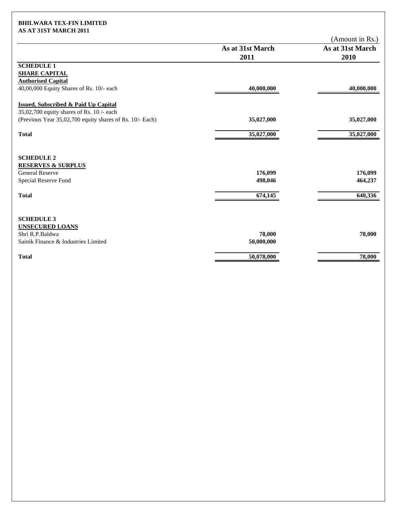#### **BHILWARA TEX-FIN LIMITED AS AT 31ST MARCH 2011**

|                                                                                                       |                      | (Amount in Rs.)    |
|-------------------------------------------------------------------------------------------------------|----------------------|--------------------|
|                                                                                                       | As at 31st March     | As at 31st March   |
|                                                                                                       | 2011                 | 2010               |
| <b>SCHEDULE 1</b>                                                                                     |                      |                    |
| <b>SHARE CAPITAL</b>                                                                                  |                      |                    |
| <b>Authorised Capital</b>                                                                             |                      |                    |
| 40,00,000 Equity Shares of Rs. 10/- each                                                              | 40,000,000           | 40,000,000         |
| <b>Issued, Subscribed &amp; Paid Up Capital</b>                                                       |                      |                    |
| 35,02,700 equity shares of Rs. 10 /- each                                                             |                      |                    |
| (Previous Year 35,02,700 equity shares of Rs. 10/- Each)                                              | 35,027,000           | 35,027,000         |
| <b>Total</b>                                                                                          | 35,027,000           | 35,027,000         |
| <b>SCHEDULE 2</b><br><b>RESERVES &amp; SURPLUS</b><br><b>General Reserve</b><br>Special Reserve Fund  | 176,099<br>498,046   | 176,099<br>464,237 |
| <b>Total</b>                                                                                          | 674,145              | 640,336            |
|                                                                                                       |                      |                    |
| <b>SCHEDULE 3</b><br><b>UNSECURED LOANS</b><br>Shri R.P.Baldwa<br>Sainik Finance & Industries Limited | 78,000<br>50,000,000 | 78,000             |
| <b>Total</b>                                                                                          | 50,078,000           | 78,000             |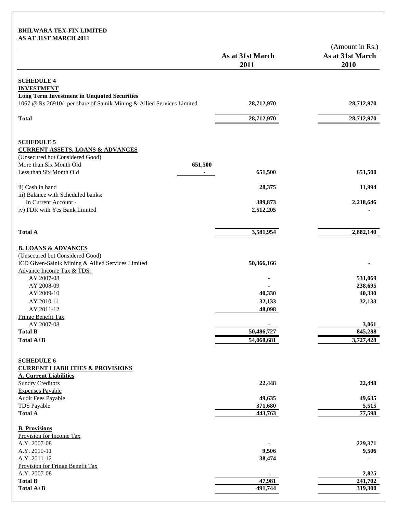#### **BHILWARA TEX-FIN LIMITED AS AT 31ST MARCH 2011**

|                                                                        |         |                  | (Amount in Rs.)   |
|------------------------------------------------------------------------|---------|------------------|-------------------|
|                                                                        |         | As at 31st March | As at 31st March  |
|                                                                        |         | 2011             | 2010              |
|                                                                        |         |                  |                   |
| <b>SCHEDULE 4</b><br><b>INVESTMENT</b>                                 |         |                  |                   |
| <b>Long Term Investment in Unquoted Securities</b>                     |         |                  |                   |
| 1067 @ Rs 26910/- per share of Sainik Mining & Allied Services Limited |         | 28,712,970       | 28,712,970        |
|                                                                        |         |                  |                   |
| <b>Total</b>                                                           |         | 28,712,970       | 28,712,970        |
|                                                                        |         |                  |                   |
| <b>SCHEDULE 5</b>                                                      |         |                  |                   |
| <b>CURRENT ASSETS, LOANS &amp; ADVANCES</b>                            |         |                  |                   |
| (Unsecured but Considered Good)                                        |         |                  |                   |
| More than Six Month Old<br>Less than Six Month Old                     | 651,500 |                  |                   |
|                                                                        |         | 651,500          | 651,500           |
| ii) Cash in hand                                                       |         | 28,375           | 11,994            |
| iii) Balance with Scheduled banks:                                     |         |                  |                   |
| In Current Account -                                                   |         | 389,873          | 2,218,646         |
| iv) FDR with Yes Bank Limited                                          |         | 2,512,205        |                   |
|                                                                        |         |                  |                   |
| <b>Total A</b>                                                         |         | 3,581,954        | 2,882,140         |
|                                                                        |         |                  |                   |
| <b>B. LOANS &amp; ADVANCES</b>                                         |         |                  |                   |
| (Unsecured but Considered Good)                                        |         |                  |                   |
| ICD Given-Sainik Mining & Allied Services Limited                      |         | 50,366,166       |                   |
| Advance Income Tax & TDS:                                              |         |                  |                   |
| AY 2007-08                                                             |         |                  | 531,069           |
| AY 2008-09<br>AY 2009-10                                               |         | 40,330           | 238,695<br>40,330 |
| AY 2010-11                                                             |         | 32,133           | 32,133            |
| AY 2011-12                                                             |         | 48,098           |                   |
| Fringe Benefit Tax                                                     |         |                  |                   |
| AY 2007-08                                                             |         |                  | 3,061             |
| <b>Total B</b>                                                         |         | 50,486,727       | 845,288           |
| Total A+B                                                              |         | 54,068,681       | 3,727,428         |
|                                                                        |         |                  |                   |
| <b>SCHEDULE 6</b>                                                      |         |                  |                   |
| <b>CURRENT LIABILITIES &amp; PROVISIONS</b>                            |         |                  |                   |
| <b>A. Current Liabilities</b>                                          |         |                  |                   |
| <b>Sundry Creditors</b><br><b>Expenses Payable</b>                     |         | 22,448           | 22,448            |
| Audit Fees Payable                                                     |         | 49,635           | 49,635            |
| TDS Payable                                                            |         | 371,680          | 5,515             |
| <b>Total A</b>                                                         |         | 443,763          | 77,598            |
|                                                                        |         |                  |                   |
| <b>B. Provisions</b><br>Provision for Income Tax                       |         |                  |                   |
| A.Y. 2007-08                                                           |         |                  | 229,371           |
| A.Y. 2010-11                                                           |         | 9,506            | 9,506             |
| A.Y. 2011-12                                                           |         | 38,474           |                   |
| Provision for Fringe Benefit Tax                                       |         |                  |                   |
| A.Y. 2007-08                                                           |         |                  | 2,825             |
| <b>Total B</b><br>Total A+B                                            |         | 47,981           | 241,702           |
|                                                                        |         | 491,744          | 319,300           |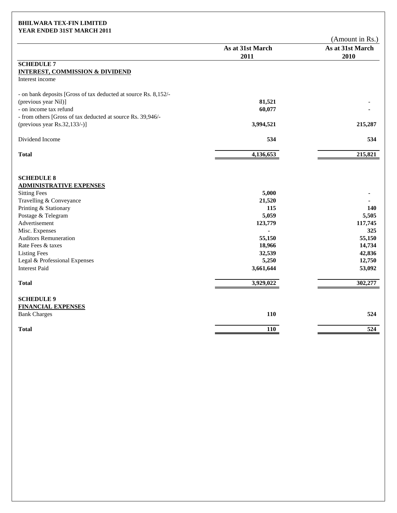#### **BHILWARA TEX-FIN LIMITED YEAR ENDED 31ST MARCH 2011**

| I LAK LIYDLD 3131 MAKUN 4011                                                                                                                                                                                                                                                                         |                                                                                   | (Amount in Rs.)                                                        |
|------------------------------------------------------------------------------------------------------------------------------------------------------------------------------------------------------------------------------------------------------------------------------------------------------|-----------------------------------------------------------------------------------|------------------------------------------------------------------------|
|                                                                                                                                                                                                                                                                                                      | As at 31st March                                                                  | As at 31st March                                                       |
|                                                                                                                                                                                                                                                                                                      | 2011                                                                              | 2010                                                                   |
| <b>SCHEDULE 7</b>                                                                                                                                                                                                                                                                                    |                                                                                   |                                                                        |
| <b>INTEREST, COMMISSION &amp; DIVIDEND</b>                                                                                                                                                                                                                                                           |                                                                                   |                                                                        |
| Interest income                                                                                                                                                                                                                                                                                      |                                                                                   |                                                                        |
| - on bank deposits [Gross of tax deducted at source Rs. 8,152/-                                                                                                                                                                                                                                      |                                                                                   |                                                                        |
| (previous year Nil)]                                                                                                                                                                                                                                                                                 | 81,521                                                                            |                                                                        |
| - on income tax refund                                                                                                                                                                                                                                                                               | 60,077                                                                            |                                                                        |
| - from others [Gross of tax deducted at source Rs. 39,946/-                                                                                                                                                                                                                                          |                                                                                   |                                                                        |
| (previous year Rs.32,133/-)]                                                                                                                                                                                                                                                                         | 3,994,521                                                                         | 215,287                                                                |
| Dividend Income                                                                                                                                                                                                                                                                                      | 534                                                                               | 534                                                                    |
| <b>Total</b>                                                                                                                                                                                                                                                                                         | 4,136,653                                                                         | 215,821                                                                |
| <b>SCHEDULE 8</b><br><b>ADMINISTRATIVE EXPENSES</b><br><b>Sitting Fees</b><br>Travelling & Conveyance<br>Printing & Stationary<br>Postage & Telegram<br>Advertisement<br>Misc. Expenses<br><b>Auditors Remuneration</b><br>Rate Fees & taxes<br><b>Listing Fees</b><br>Legal & Professional Expenses | 5,000<br>21,520<br>115<br>5,059<br>123,779<br>55,150<br>18,966<br>32,539<br>5,250 | 140<br>5,505<br>117,745<br>325<br>55,150<br>14,734<br>42,836<br>12,750 |
| <b>Interest Paid</b>                                                                                                                                                                                                                                                                                 | 3,661,644                                                                         | 53,092                                                                 |
| <b>Total</b>                                                                                                                                                                                                                                                                                         | 3,929,022                                                                         | 302,277                                                                |
| <b>SCHEDULE 9</b><br><b>FINANCIAL EXPENSES</b>                                                                                                                                                                                                                                                       |                                                                                   |                                                                        |
| <b>Bank Charges</b>                                                                                                                                                                                                                                                                                  | 110                                                                               | 524                                                                    |
| <b>Total</b>                                                                                                                                                                                                                                                                                         | 110                                                                               | $\overline{524}$                                                       |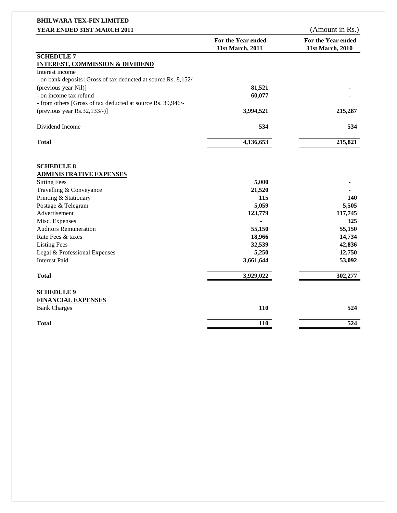### **BHILWARA TEX-FIN LIMITED YEAR ENDED 31ST MARCH 2011** (Amount in Rs.)  **For the Year ended**

|                                                                                                                                | For the Year ended<br>31st March, 2011 | For the Year ended<br>31st March, 2010 |
|--------------------------------------------------------------------------------------------------------------------------------|----------------------------------------|----------------------------------------|
| <b>SCHEDULE 7</b>                                                                                                              |                                        |                                        |
| <b>INTEREST, COMMISSION &amp; DIVIDEND</b>                                                                                     |                                        |                                        |
| Interest income                                                                                                                |                                        |                                        |
| - on bank deposits [Gross of tax deducted at source Rs. 8,152/-                                                                |                                        |                                        |
| (previous year Nil)]                                                                                                           | 81,521                                 |                                        |
| - on income tax refund                                                                                                         | 60,077                                 |                                        |
| - from others [Gross of tax deducted at source Rs. 39,946/-                                                                    |                                        |                                        |
| (previous year Rs.32,133/-)]                                                                                                   | 3,994,521                              | 215,287                                |
| Dividend Income                                                                                                                | 534                                    | 534                                    |
| <b>Total</b>                                                                                                                   | 4,136,653                              | 215,821                                |
| <b>SCHEDULE 8</b><br><b>ADMINISTRATIVE EXPENSES</b><br><b>Sitting Fees</b><br>Travelling & Conveyance<br>Printing & Stationary | 5,000<br>21,520<br>115<br>5,059        | <b>140</b>                             |
| Postage & Telegram<br>Advertisement                                                                                            | 123,779                                | 5,505<br>117,745                       |
| Misc. Expenses                                                                                                                 |                                        | 325                                    |
| <b>Auditors Remuneration</b>                                                                                                   | 55,150                                 | 55,150                                 |
| Rate Fees & taxes                                                                                                              | 18,966                                 | 14,734                                 |
| <b>Listing Fees</b>                                                                                                            | 32,539                                 | 42,836                                 |
| Legal & Professional Expenses                                                                                                  | 5,250                                  | 12,750                                 |
| <b>Interest Paid</b>                                                                                                           | 3,661,644                              | 53,092                                 |
| <b>Total</b>                                                                                                                   | 3,929,022                              | 302,277                                |
| <b>SCHEDULE 9</b>                                                                                                              |                                        |                                        |
| <b>FINANCIAL EXPENSES</b>                                                                                                      |                                        |                                        |
| <b>Bank Charges</b>                                                                                                            | 110                                    | 524                                    |
| <b>Total</b>                                                                                                                   | 110                                    | 524                                    |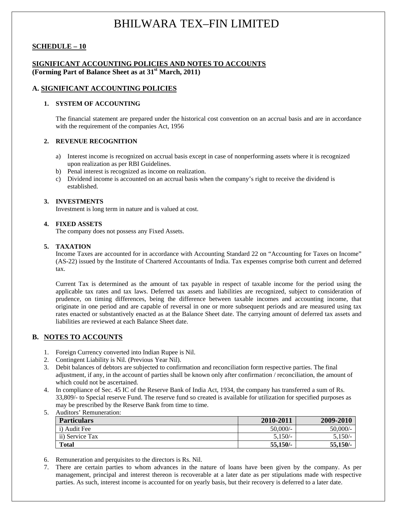### **SCHEDULE – 10**

### **SIGNIFICANT ACCOUNTING POLICIES AND NOTES TO ACCOUNTS (Forming Part of Balance Sheet as at 31st March, 2011)**

### **A. SIGNIFICANT ACCOUNTING POLICIES**

#### **1. SYSTEM OF ACCOUNTING**

The financial statement are prepared under the historical cost convention on an accrual basis and are in accordance with the requirement of the companies Act, 1956

#### **2. REVENUE RECOGNITION**

- a) Interest income is recognized on accrual basis except in case of nonperforming assets where it is recognized upon realization as per RBI Guidelines.
- b) Penal interest is recognized as income on realization.
- c) Dividend income is accounted on an accrual basis when the company's right to receive the dividend is established.

#### **3. INVESTMENTS**

Investment is long term in nature and is valued at cost.

#### **4. FIXED ASSETS**

The company does not possess any Fixed Assets.

#### **5. TAXATION**

Income Taxes are accounted for in accordance with Accounting Standard 22 on "Accounting for Taxes on Income" (AS-22) issued by the Institute of Chartered Accountants of India. Tax expenses comprise both current and deferred tax.

Current Tax is determined as the amount of tax payable in respect of taxable income for the period using the applicable tax rates and tax laws. Deferred tax assets and liabilities are recognized, subject to consideration of prudence, on timing differences, being the difference between taxable incomes and accounting income, that originate in one period and are capable of reversal in one or more subsequent periods and are measured using tax rates enacted or substantively enacted as at the Balance Sheet date. The carrying amount of deferred tax assets and liabilities are reviewed at each Balance Sheet date.

#### **B. NOTES TO ACCOUNTS**

- 1. Foreign Currency converted into Indian Rupee is Nil.
- 2. Contingent Liability is Nil. (Previous Year Nil).
- 3. Debit balances of debtors are subjected to confirmation and reconciliation form respective parties. The final adjustment, if any, in the account of parties shall be known only after confirmation / reconciliation, the amount of which could not be ascertained.
- 4. In compliance of Sec. 45 IC of the Reserve Bank of India Act, 1934, the company has transferred a sum of Rs. 33,809/- to Special reserve Fund. The reserve fund so created is available for utilization for specified purposes as may be prescribed by the Reserve Bank from time to time.
- 5. Auditors' Remuneration:

| <b>Particulars</b> | 2010-2011   | 2009-2010 |
|--------------------|-------------|-----------|
| i) Audit Fee       | $50,000/$ - | 50,000/   |
| ii) Service Tax    | $5.150/-$   | $5.150/-$ |
| <b>Total</b>       | $55.150/-$  | 55.150/-  |

- 6. Remuneration and perquisites to the directors is Rs. Nil.
- 7. There are certain parties to whom advances in the nature of loans have been given by the company. As per management, principal and interest thereon is recoverable at a later date as per stipulations made with respective parties. As such, interest income is accounted for on yearly basis, but their recovery is deferred to a later date.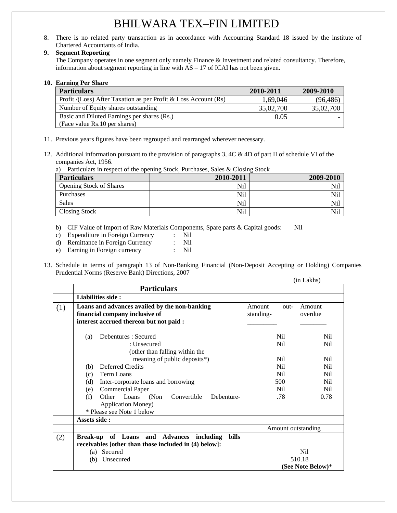8. There is no related party transaction as in accordance with Accounting Standard 18 issued by the institute of Chartered Accountants of India.

#### **9. Segment Reporting**

The Company operates in one segment only namely Finance & Investment and related consultancy. Therefore, information about segment reporting in line with AS – 17 of ICAI has not been given.

| 10. Earning Per Share                                           |           |           |
|-----------------------------------------------------------------|-----------|-----------|
| <b>Particulars</b>                                              | 2010-2011 | 2009-2010 |
| Profit /(Loss) After Taxation as per Profit & Loss Account (Rs) | 1,69,046  | (96, 486) |
| Number of Equity shares outstanding                             | 35,02,700 | 35,02,700 |
| Basic and Diluted Earnings per shares (Rs.)                     | 0.05      |           |
| (Face value Rs.10 per shares)                                   |           |           |

- 11. Previous years figures have been regrouped and rearranged wherever necessary.
- 12. Additional information pursuant to the provision of paragraphs 3, 4C & 4D of part II of schedule VI of the companies Act, 1956.

a) Particulars in respect of the opening Stock, Purchases, Sales & Closing Stock

| <b>Particulars</b>             | 2010-2011 | 2009-2010 |
|--------------------------------|-----------|-----------|
| <b>Opening Stock of Shares</b> | Nil       | Nil       |
| Purchases                      | Nil       | Nil       |
| <b>Sales</b>                   | Nil       | Nil       |
| <b>Closing Stock</b>           | Nil       | Nil       |

- b) CIF Value of Import of Raw Materials Components, Spare parts & Capital goods: Nil
- c) Expenditure in Foreign Currency : Nil
- d) Remittance in Foreign Currency : Nil
- e) Earning in Foreign currency : Nil
- 13. Schedule in terms of paragraph 13 of Non-Banking Financial (Non-Deposit Accepting or Holding) Companies Prudential Norms (Reserve Bank) Directions, 2007

|     |                                                             |                    | (in Lakhs)        |
|-----|-------------------------------------------------------------|--------------------|-------------------|
|     | <b>Particulars</b>                                          |                    |                   |
|     | Liabilities side:                                           |                    |                   |
| (1) | Loans and advances availed by the non-banking               | Amount<br>out-     | Amount            |
|     | financial company inclusive of                              | standing-          | overdue           |
|     | interest accrued thereon but not paid :                     |                    |                   |
|     | Debentures: Secured<br>(a)                                  | Nil                | Nil               |
|     | : Unsecured                                                 | Nil                | Nil               |
|     | (other than falling within the                              |                    |                   |
|     | meaning of public deposits*)                                | Nil                | <b>Nil</b>        |
|     | Deferred Credits<br>(b)                                     | Nil                | Nil               |
|     | Term Loans<br>(c)                                           | Nil                | Nil               |
|     | (d)<br>Inter-corporate loans and borrowing                  | 500                | Nil               |
|     | <b>Commercial Paper</b><br>(e)                              | Nil                | Nil               |
|     | Other Loans<br>(Non<br>Convertible<br>Debenture-<br>(f)     | .78                | 0.78              |
|     | <b>Application Money</b> )                                  |                    |                   |
|     | * Please see Note 1 below                                   |                    |                   |
|     | Assets side:                                                |                    |                   |
|     |                                                             | Amount outstanding |                   |
| (2) | of Loans and Advances including<br>bills<br><b>Break-up</b> |                    |                   |
|     | receivables [other than those included in (4) below]:       |                    |                   |
|     | (a) Secured                                                 |                    | Nil               |
|     | Unsecured<br>(b)                                            |                    | 510.18            |
|     |                                                             |                    | (See Note Below)* |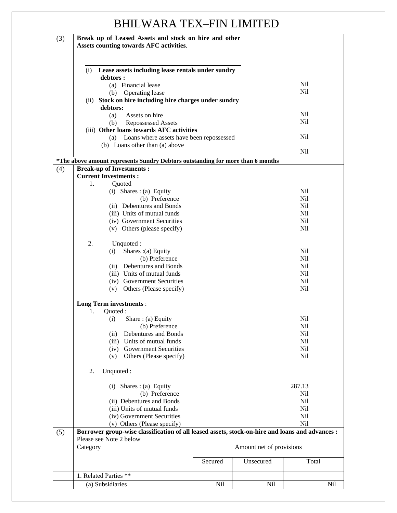|     | <b>BHILWARA TEX-FIN LIMITED</b>                                                                                            |                          |            |            |
|-----|----------------------------------------------------------------------------------------------------------------------------|--------------------------|------------|------------|
| (3) | Break up of Leased Assets and stock on hire and other<br>Assets counting towards AFC activities.                           |                          |            |            |
|     |                                                                                                                            |                          |            |            |
|     | (i) Lease assets including lease rentals under sundry                                                                      |                          |            |            |
|     | debtors :                                                                                                                  |                          |            |            |
|     | (a) Financial lease                                                                                                        |                          |            | Nil        |
|     | (b) Operating lease                                                                                                        |                          |            | Nil        |
|     | (ii) Stock on hire including hire charges under sundry                                                                     |                          |            |            |
|     | debtors:<br>Assets on hire<br>(a)                                                                                          |                          |            | <b>Nil</b> |
|     | <b>Repossessed Assets</b><br>(b)                                                                                           |                          |            | Nil        |
|     | (iii) Other loans towards AFC activities                                                                                   |                          |            |            |
|     | (a) Loans where assets have been repossessed                                                                               |                          |            | <b>Nil</b> |
|     | (b) Loans other than (a) above                                                                                             |                          |            |            |
|     |                                                                                                                            |                          |            | <b>Nil</b> |
|     | *The above amount represents Sundry Debtors outstanding for more than 6 months                                             |                          |            |            |
| (4) | <b>Break-up of Investments:</b>                                                                                            |                          |            |            |
|     | <b>Current Investments:</b>                                                                                                |                          |            |            |
|     | Quoted<br>1.<br>(i) Shares : (a) Equity                                                                                    |                          |            | <b>Nil</b> |
|     | (b) Preference                                                                                                             |                          |            | Nil        |
|     | (ii) Debentures and Bonds                                                                                                  |                          |            | <b>Nil</b> |
|     | (iii) Units of mutual funds                                                                                                |                          |            | <b>Nil</b> |
|     | (iv) Government Securities                                                                                                 |                          |            | <b>Nil</b> |
|     | (v) Others (please specify)                                                                                                |                          |            | Nil        |
|     | 2.<br>Unquoted:                                                                                                            |                          |            |            |
|     | Shares :(a) Equity<br>(i)                                                                                                  |                          |            | Nil        |
|     | (b) Preference                                                                                                             |                          |            | Nil        |
|     | (ii) Debentures and Bonds                                                                                                  |                          |            | Nil        |
|     | (iii) Units of mutual funds                                                                                                |                          |            | <b>Nil</b> |
|     | (iv) Government Securities                                                                                                 |                          |            | Nil        |
|     | Others (Please specify)<br>(v)                                                                                             |                          |            | Nil        |
|     | <b>Long Term investments:</b>                                                                                              |                          |            |            |
|     | 1.<br>Quoted:                                                                                                              |                          |            |            |
|     | (i)<br>Share: (a) Equity                                                                                                   |                          |            | Nil        |
|     | (b) Preference                                                                                                             |                          |            | Nil        |
|     | Debentures and Bonds<br>(ii)                                                                                               |                          |            | Nil        |
|     | (iii) Units of mutual funds                                                                                                |                          |            | Nil        |
|     | (iv) Government Securities                                                                                                 |                          |            | Nil        |
|     | Others (Please specify)<br>(v)                                                                                             |                          |            | <b>Nil</b> |
|     | Unquoted:<br>2.                                                                                                            |                          |            |            |
|     | Shares: (a) Equity<br>(i)                                                                                                  |                          |            | 287.13     |
|     | (b) Preference                                                                                                             |                          |            | Nil        |
|     | (ii) Debentures and Bonds                                                                                                  |                          |            | Nil        |
|     | (iii) Units of mutual funds                                                                                                |                          |            | Nil        |
|     | (iv) Government Securities                                                                                                 |                          |            | Nil        |
|     | (v) Others (Please specify)                                                                                                |                          |            | Nil        |
| (5) | Borrower group-wise classification of all leased assets, stock-on-hire and loans and advances :<br>Please see Note 2 below |                          |            |            |
|     | Category                                                                                                                   | Amount net of provisions |            |            |
|     |                                                                                                                            |                          |            |            |
|     |                                                                                                                            | Secured                  | Unsecured  | Total      |
|     | 1. Related Parties **                                                                                                      |                          |            |            |
|     | (a) Subsidiaries                                                                                                           | Nil                      | <b>Nil</b> | Nil        |
|     |                                                                                                                            |                          |            |            |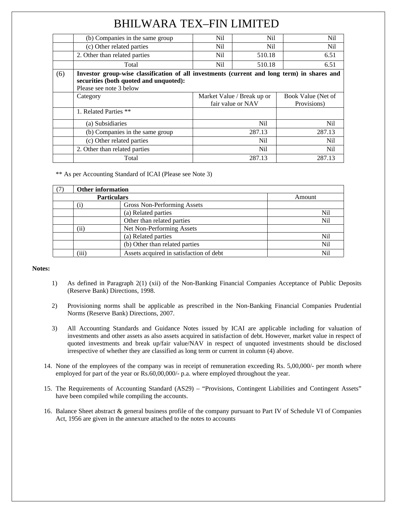|     | (b) Companies in the same group                                                             | Nil        | Nil                        | Nil.               |
|-----|---------------------------------------------------------------------------------------------|------------|----------------------------|--------------------|
|     | (c) Other related parties                                                                   | <b>Nil</b> | Nil                        | Nil                |
|     | 2. Other than related parties                                                               | Nil        | 510.18                     | 6.51               |
|     | Total                                                                                       | Nil        | 510.18                     | 6.51               |
| (6) | Investor group-wise classification of all investments (current and long term) in shares and |            |                            |                    |
|     | securities (both quoted and unquoted):                                                      |            |                            |                    |
|     | Please see note 3 below                                                                     |            |                            |                    |
|     | Category                                                                                    |            | Market Value / Break up or | Book Value (Net of |
|     |                                                                                             |            | fair value or NAV          | Provisions)        |
|     | 1. Related Parties **                                                                       |            |                            |                    |
|     | (a) Subsidiaries                                                                            |            | Nil                        | Nil                |
|     | (b) Companies in the same group                                                             |            | 287.13                     | 287.13             |
|     | (c) Other related parties                                                                   |            | Nil                        | Nil                |
|     | 2. Other than related parties                                                               |            | Nil                        | Nil                |
|     | Total                                                                                       |            | 287.13                     | 287.13             |

\*\* As per Accounting Standard of ICAI (Please see Note 3)

| (7) | <b>Other information</b> |                                         |        |
|-----|--------------------------|-----------------------------------------|--------|
|     | <b>Particulars</b>       |                                         | Amount |
|     | (i)                      | Gross Non-Performing Assets             |        |
|     |                          | (a) Related parties                     | Nil    |
|     |                          | Other than related parties              | Nil    |
|     | (i)                      | Net Non-Performing Assets               |        |
|     |                          | (a) Related parties                     | Nil    |
|     |                          | (b) Other than related parties          | Nil    |
|     | (iii)                    | Assets acquired in satisfaction of debt | Nil    |

#### **Notes:**

- 1) As defined in Paragraph 2(1) (xii) of the Non-Banking Financial Companies Acceptance of Public Deposits (Reserve Bank) Directions, 1998.
- 2) Provisioning norms shall be applicable as prescribed in the Non-Banking Financial Companies Prudential Norms (Reserve Bank) Directions, 2007.
- 3) All Accounting Standards and Guidance Notes issued by ICAI are applicable including for valuation of investments and other assets as also assets acquired in satisfaction of debt. However, market value in respect of quoted investments and break up/fair value/NAV in respect of unquoted investments should be disclosed irrespective of whether they are classified as long term or current in column (4) above.
- 14. None of the employees of the company was in receipt of remuneration exceeding Rs. 5,00,000/- per month where employed for part of the year or Rs.60,00,000/- p.a. where employed throughout the year.
- 15. The Requirements of Accounting Standard (AS29) "Provisions, Contingent Liabilities and Contingent Assets" have been compiled while compiling the accounts.
- 16. Balance Sheet abstract & general business profile of the company pursuant to Part IV of Schedule VI of Companies Act, 1956 are given in the annexure attached to the notes to accounts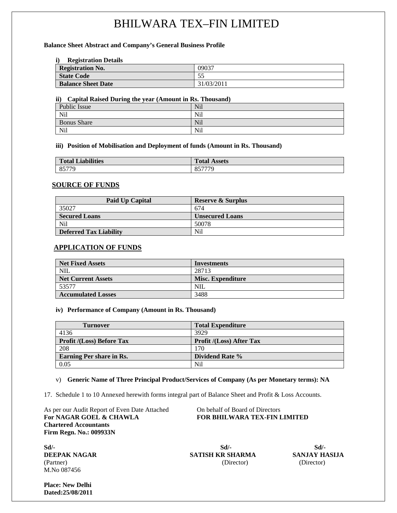#### **Balance Sheet Abstract and Company's General Business Profile**

| i) | <b>Registration Details</b> |  |
|----|-----------------------------|--|
|    |                             |  |

| - 1                       |            |
|---------------------------|------------|
| <b>Registration No.</b>   | 09037      |
| <b>State Code</b>         | IJ         |
| <b>Balance Sheet Date</b> | 31/03/2011 |

#### **ii) Capital Raised During the year (Amount in Rs. Thousand)**

| <b>Public Issue</b> | Nil        |
|---------------------|------------|
| Nil                 | Nil        |
| <b>Bonus Share</b>  | <b>Nil</b> |
| Nil                 | Nil        |

#### **iii) Position of Mobilisation and Deployment of funds (Amount in Rs. Thousand)**

| <b>Total Liabilities</b> | <b>Total Assets</b> |
|--------------------------|---------------------|
| 85779                    | 057770<br>$\circ$   |

#### **SOURCE OF FUNDS**

| Paid Up Capital               | <b>Reserve &amp; Surplus</b> |
|-------------------------------|------------------------------|
| 35027                         | 674                          |
| <b>Secured Loans</b>          | <b>Unsecured Loans</b>       |
| Nil                           | 50078                        |
| <b>Deferred Tax Liability</b> | Nil                          |

#### **APPLICATION OF FUNDS**

| <b>Net Fixed Assets</b>   | Investments              |
|---------------------------|--------------------------|
| <b>NIL</b>                | 28713                    |
| <b>Net Current Assets</b> | <b>Misc. Expenditure</b> |
| 53577                     | NIL                      |
| <b>Accumulated Losses</b> | 3488                     |

#### **iv) Performance of Company (Amount in Rs. Thousand)**

| <b>Turnover</b>                  | <b>Total Expenditure</b>        |
|----------------------------------|---------------------------------|
| 4136                             | 3929                            |
| <b>Profit /(Loss) Before Tax</b> | <b>Profit /(Loss) After Tax</b> |
| 208                              | 170                             |
| <b>Earning Per share in Rs.</b>  | Dividend Rate %                 |
| 0.05                             | Nil                             |

#### v) **Generic Name of Three Principal Product/Services of Company (As per Monetary terms): NA**

17. Schedule 1 to 10 Annexed herewith forms integral part of Balance Sheet and Profit & Loss Accounts.

As per our Audit Report of Even Date Attached On behalf of Board of Directors For NAGAR GOEL & CHAWLA **FOR BHILWARA TEX-FIN LIMITED Chartered Accountants Firm Regn. No.: 009933N** 

M.No 087456

**Sd/- Sd/- Sd/- DEEPAK NAGAR SATISH KR SHARMA SANJAY HASIJA**  (Partner) (Director) (Director)

**Place: New Delhi Dated:25/08/2011**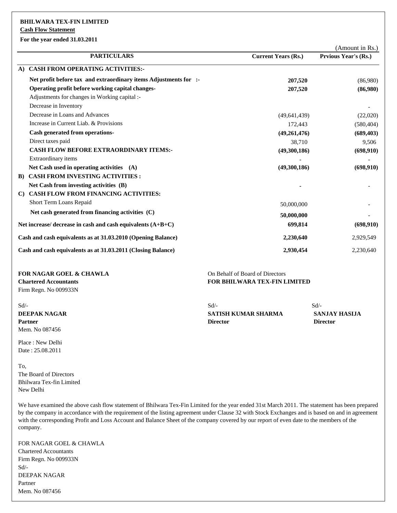**Cash Flow Statement**

**For the year ended 31.03.2011**

|              |                                                                  |                            | (Amount in Rs.)             |
|--------------|------------------------------------------------------------------|----------------------------|-----------------------------|
|              | <b>PARTICULARS</b>                                               | <b>Current Years (Rs.)</b> | <b>Prvious Year's (Rs.)</b> |
|              | A) CASH FROM OPERATING ACTIVITIES:-                              |                            |                             |
|              | Net profit before tax and extraordinary items Adjustments for :- | 207,520                    | (86,980)                    |
|              | Operating profit before working capital changes-                 | 207,520                    | (86,980)                    |
|              | Adjustments for changes in Working capital :-                    |                            |                             |
|              | Decrease in Inventory                                            |                            |                             |
|              | Decrease in Loans and Advances                                   | (49, 641, 439)             | (22,020)                    |
|              | Increase in Current Liab. & Provisions                           | 172,443                    | (580, 404)                  |
|              | Cash generated from operations-                                  | (49,261,476)               | (689, 403)                  |
|              | Direct taxes paid                                                | 38.710                     | 9,506                       |
|              | <b>CASH FLOW BEFORE EXTRAORDINARY ITEMS:-</b>                    | (49,300,186)               | (698, 910)                  |
|              | Extraordinary items                                              |                            |                             |
|              | Net Cash used in operating activities (A)                        | (49,300,186)               | (698, 910)                  |
| B)           | <b>CASH FROM INVESTING ACTIVITIES:</b>                           |                            |                             |
|              | Net Cash from investing activities (B)                           |                            |                             |
| $\mathbf{C}$ | CASH FLOW FROM FINANCING ACTIVITIES:                             |                            |                             |
|              | Short Term Loans Repaid                                          | 50,000,000                 |                             |
|              | Net cash generated from financing activities (C)                 | 50,000,000                 |                             |
|              | Net increase/ decrease in cash and cash equivalents $(A+B+C)$    | 699,814                    | (698, 910)                  |
|              | Cash and cash equivalents as at 31.03.2010 (Opening Balance)     | 2,230,640                  | 2,929,549                   |
|              | Cash and cash equivalents as at 31.03.2011 (Closing Balance)     | 2,930,454                  | 2,230,640                   |

#### **FOR NAGAR GOEL & CHAWLA** On Behalf of Board of Directors **Chartered Accountants FOR BHILWARA TEX-FIN LIMITED** Firm Regn. No 009933N

**DEEPAK NAGAR** SATISF SATISF AND SATISF SANDWARE SANDWARE SANDWARE SANDWARE SANDWARE SANDWARE SANDWARE SANDWARE SANDWARE SANDWARE SANDWARE SANDWARE SANDWARE SANDWARE SANDWARE SANDWARE SANDWARE SANDWARE SANDWARE SANDWARE SA

Mem. No 087456

Place : New Delhi Date : 25.08.2011

#### To,

The Board of Directors Bhilwara Tex-fin Limited New Delhi

We have examined the above cash flow statement of Bhilwara Tex-Fin Limited for the year ended 31st March 2011. The statement has been prepared by the company in accordance with the requirement of the listing agreement under Clause 32 with Stock Exchanges and is based on and in agreement with the corresponding Profit and Loss Account and Balance Sheet of the company covered by our report of even date to the members of the company.

FOR NAGAR GOEL & CHAWLA Chartered Accountants Firm Regn. No 009933N Sd/- DEEPAK NAGAR Partner Mem. No 087456

| Sd/-         | Sd/-                       | Sd/-            |
|--------------|----------------------------|-----------------|
| DEEPAK NAGAR | <b>SATISH KUMAR SHARMA</b> | SANJAY HASLJA   |
| Partner      | <b>Director</b>            | <b>Director</b> |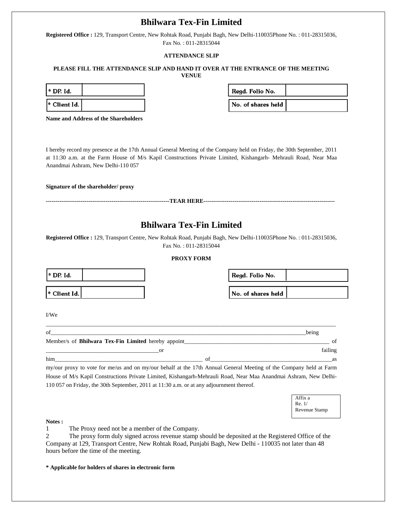### **Bhilwara Tex-Fin Limited**

**Registered Office :** 129, Transport Centre, New Rohtak Road, Punjabi Bagh, New Delhi-110035Phone No. : 011-28315036, Fax No. : 011-28315044

#### **ATTENDANCE SLIP**

#### **PLEASE FILL THE ATTENDANCE SLIP AND HAND IT OVER AT THE ENTRANCE OF THE MEETING VENUE**

| $\blacktriangleright$ DP. Id. |  |
|-------------------------------|--|
| <sup>*</sup> Client Id.       |  |

**Name and Address of the Shareholders** 

| Regd. Folio No.    |  |
|--------------------|--|
| No. of shares held |  |

I hereby record my presence at the 17th Annual General Meeting of the Company held on Friday, the 30th September, 2011 at 11:30 a.m. at the Farm House of M/s Kapil Constructions Private Limited, Kishangarh- Mehrauli Road, Near Maa Anandmai Ashram, New Delhi-110 057

**Signature of the shareholder/ proxy** 

|--|

### **Bhilwara Tex-Fin Limited**

**Registered Office :** 129, Transport Centre, New Rohtak Road, Punjabi Bagh, New Delhi-110035Phone No. : 011-28315036, Fax No. : 011-28315044

#### **PROXY FORM**

| * DP. Id.                                           |    | Regd. Folio No.    |         |
|-----------------------------------------------------|----|--------------------|---------|
| * Client Id.                                        |    | No. of shares held |         |
| I/We                                                |    |                    |         |
| of                                                  |    |                    | being   |
| Member/s of Bhilwara Tex-Fin Limited hereby appoint |    |                    | of      |
|                                                     | or |                    | failing |
| him                                                 |    | of                 | as      |

my/our proxy to vote for me/us and on my/our behalf at the 17th Annual General Meeting of the Company held at Farm House of M/s Kapil Constructions Private Limited, Kishangarh-Mehrauli Road, Near Maa Anandmai Ashram, New Delhi-110 057 on Friday, the 30th September, 2011 at 11:30 a.m. or at any adjournment thereof.

#### **Notes :**

1 The Proxy need not be a member of the Company.

2 The proxy form duly signed across revenue stamp should be deposited at the Registered Office of the Company at 129, Transport Centre, New Rohtak Road, Punjabi Bagh, New Delhi - 110035 not later than 48 hours before the time of the meeting.

**\* Applicable for holders of shares in electronic form**